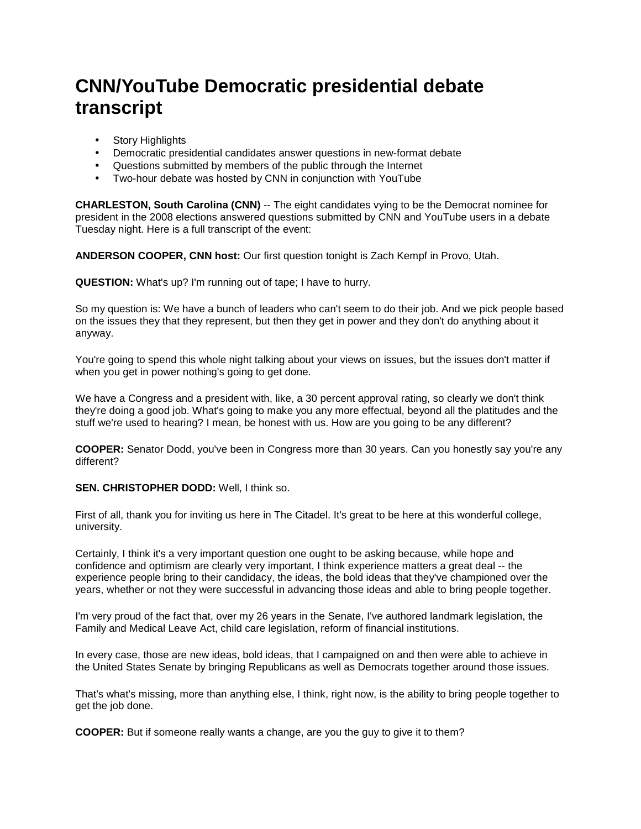# **CNN/YouTube Democratic presidential debate transcript**

- Story Highlights
- Democratic presidential candidates answer questions in new-format debate
- Questions submitted by members of the public through the Internet
- Two-hour debate was hosted by CNN in conjunction with YouTube

**CHARLESTON, South Carolina (CNN)** -- The eight candidates vying to be the Democrat nominee for president in the 2008 elections answered questions submitted by CNN and YouTube users in a debate Tuesday night. Here is a full transcript of the event:

**ANDERSON COOPER, CNN host:** Our first question tonight is Zach Kempf in Provo, Utah.

**QUESTION:** What's up? I'm running out of tape; I have to hurry.

So my question is: We have a bunch of leaders who can't seem to do their job. And we pick people based on the issues they that they represent, but then they get in power and they don't do anything about it anyway.

You're going to spend this whole night talking about your views on issues, but the issues don't matter if when you get in power nothing's going to get done.

We have a Congress and a president with, like, a 30 percent approval rating, so clearly we don't think they're doing a good job. What's going to make you any more effectual, beyond all the platitudes and the stuff we're used to hearing? I mean, be honest with us. How are you going to be any different?

**COOPER:** Senator Dodd, you've been in Congress more than 30 years. Can you honestly say you're any different?

# **SEN. CHRISTOPHER DODD:** Well, I think so.

First of all, thank you for inviting us here in The Citadel. It's great to be here at this wonderful college, university.

Certainly, I think it's a very important question one ought to be asking because, while hope and confidence and optimism are clearly very important, I think experience matters a great deal -- the experience people bring to their candidacy, the ideas, the bold ideas that they've championed over the years, whether or not they were successful in advancing those ideas and able to bring people together.

I'm very proud of the fact that, over my 26 years in the Senate, I've authored landmark legislation, the Family and Medical Leave Act, child care legislation, reform of financial institutions.

In every case, those are new ideas, bold ideas, that I campaigned on and then were able to achieve in the United States Senate by bringing Republicans as well as Democrats together around those issues.

That's what's missing, more than anything else, I think, right now, is the ability to bring people together to get the job done.

**COOPER:** But if someone really wants a change, are you the guy to give it to them?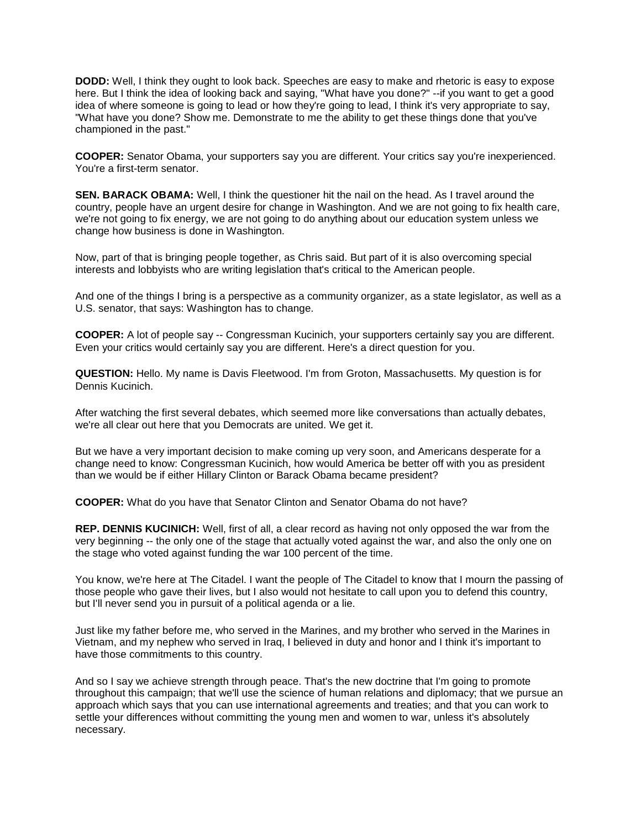**DODD:** Well, I think they ought to look back. Speeches are easy to make and rhetoric is easy to expose here. But I think the idea of looking back and saying, "What have you done?" --if you want to get a good idea of where someone is going to lead or how they're going to lead, I think it's very appropriate to say, "What have you done? Show me. Demonstrate to me the ability to get these things done that you've championed in the past."

**COOPER:** Senator Obama, your supporters say you are different. Your critics say you're inexperienced. You're a first-term senator.

**SEN. BARACK OBAMA:** Well, I think the questioner hit the nail on the head. As I travel around the country, people have an urgent desire for change in Washington. And we are not going to fix health care, we're not going to fix energy, we are not going to do anything about our education system unless we change how business is done in Washington.

Now, part of that is bringing people together, as Chris said. But part of it is also overcoming special interests and lobbyists who are writing legislation that's critical to the American people.

And one of the things I bring is a perspective as a community organizer, as a state legislator, as well as a U.S. senator, that says: Washington has to change.

**COOPER:** A lot of people say -- Congressman Kucinich, your supporters certainly say you are different. Even your critics would certainly say you are different. Here's a direct question for you.

**QUESTION:** Hello. My name is Davis Fleetwood. I'm from Groton, Massachusetts. My question is for Dennis Kucinich.

After watching the first several debates, which seemed more like conversations than actually debates, we're all clear out here that you Democrats are united. We get it.

But we have a very important decision to make coming up very soon, and Americans desperate for a change need to know: Congressman Kucinich, how would America be better off with you as president than we would be if either Hillary Clinton or Barack Obama became president?

**COOPER:** What do you have that Senator Clinton and Senator Obama do not have?

**REP. DENNIS KUCINICH:** Well, first of all, a clear record as having not only opposed the war from the very beginning -- the only one of the stage that actually voted against the war, and also the only one on the stage who voted against funding the war 100 percent of the time.

You know, we're here at The Citadel. I want the people of The Citadel to know that I mourn the passing of those people who gave their lives, but I also would not hesitate to call upon you to defend this country, but I'll never send you in pursuit of a political agenda or a lie.

Just like my father before me, who served in the Marines, and my brother who served in the Marines in Vietnam, and my nephew who served in Iraq, I believed in duty and honor and I think it's important to have those commitments to this country.

And so I say we achieve strength through peace. That's the new doctrine that I'm going to promote throughout this campaign; that we'll use the science of human relations and diplomacy; that we pursue an approach which says that you can use international agreements and treaties; and that you can work to settle your differences without committing the young men and women to war, unless it's absolutely necessary.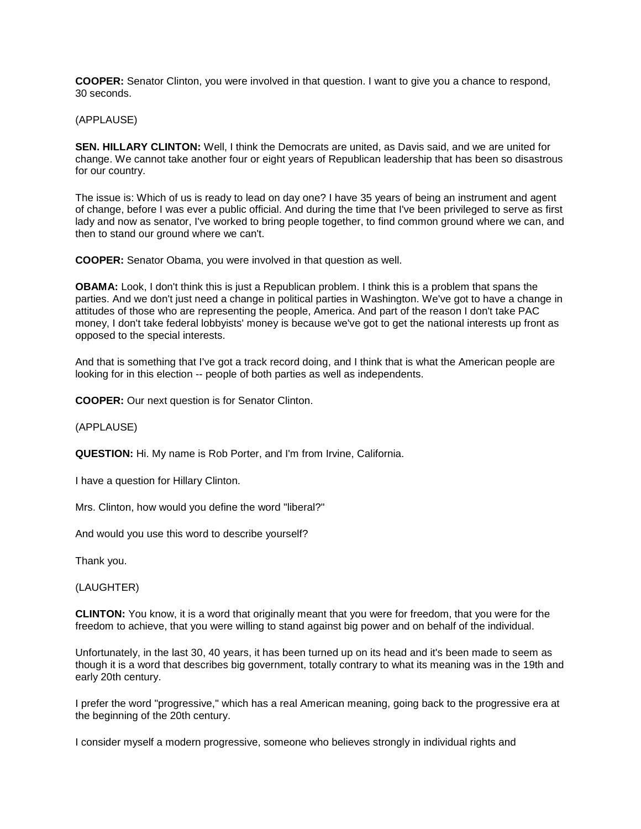**COOPER:** Senator Clinton, you were involved in that question. I want to give you a chance to respond, 30 seconds.

(APPLAUSE)

**SEN. HILLARY CLINTON:** Well, I think the Democrats are united, as Davis said, and we are united for change. We cannot take another four or eight years of Republican leadership that has been so disastrous for our country.

The issue is: Which of us is ready to lead on day one? I have 35 years of being an instrument and agent of change, before I was ever a public official. And during the time that I've been privileged to serve as first lady and now as senator, I've worked to bring people together, to find common ground where we can, and then to stand our ground where we can't.

**COOPER:** Senator Obama, you were involved in that question as well.

**OBAMA:** Look, I don't think this is just a Republican problem. I think this is a problem that spans the parties. And we don't just need a change in political parties in Washington. We've got to have a change in attitudes of those who are representing the people, America. And part of the reason I don't take PAC money, I don't take federal lobbyists' money is because we've got to get the national interests up front as opposed to the special interests.

And that is something that I've got a track record doing, and I think that is what the American people are looking for in this election -- people of both parties as well as independents.

**COOPER:** Our next question is for Senator Clinton.

(APPLAUSE)

**QUESTION:** Hi. My name is Rob Porter, and I'm from Irvine, California.

I have a question for Hillary Clinton.

Mrs. Clinton, how would you define the word "liberal?"

And would you use this word to describe yourself?

Thank you.

(LAUGHTER)

**CLINTON:** You know, it is a word that originally meant that you were for freedom, that you were for the freedom to achieve, that you were willing to stand against big power and on behalf of the individual.

Unfortunately, in the last 30, 40 years, it has been turned up on its head and it's been made to seem as though it is a word that describes big government, totally contrary to what its meaning was in the 19th and early 20th century.

I prefer the word "progressive," which has a real American meaning, going back to the progressive era at the beginning of the 20th century.

I consider myself a modern progressive, someone who believes strongly in individual rights and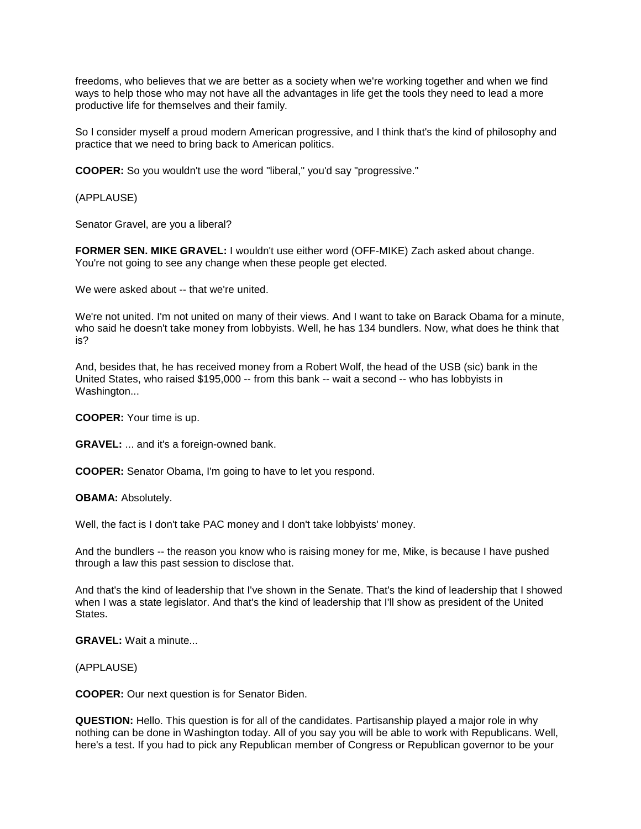freedoms, who believes that we are better as a society when we're working together and when we find ways to help those who may not have all the advantages in life get the tools they need to lead a more productive life for themselves and their family.

So I consider myself a proud modern American progressive, and I think that's the kind of philosophy and practice that we need to bring back to American politics.

**COOPER:** So you wouldn't use the word "liberal," you'd say "progressive."

(APPLAUSE)

Senator Gravel, are you a liberal?

**FORMER SEN. MIKE GRAVEL:** I wouldn't use either word (OFF-MIKE) Zach asked about change. You're not going to see any change when these people get elected.

We were asked about -- that we're united.

We're not united. I'm not united on many of their views. And I want to take on Barack Obama for a minute, who said he doesn't take money from lobbyists. Well, he has 134 bundlers. Now, what does he think that is?

And, besides that, he has received money from a Robert Wolf, the head of the USB (sic) bank in the United States, who raised \$195,000 -- from this bank -- wait a second -- who has lobbyists in Washington...

**COOPER:** Your time is up.

**GRAVEL:** ... and it's a foreign-owned bank.

**COOPER:** Senator Obama, I'm going to have to let you respond.

**OBAMA:** Absolutely.

Well, the fact is I don't take PAC money and I don't take lobbyists' money.

And the bundlers -- the reason you know who is raising money for me, Mike, is because I have pushed through a law this past session to disclose that.

And that's the kind of leadership that I've shown in the Senate. That's the kind of leadership that I showed when I was a state legislator. And that's the kind of leadership that I'll show as president of the United States.

**GRAVEL:** Wait a minute...

(APPLAUSE)

**COOPER:** Our next question is for Senator Biden.

**QUESTION:** Hello. This question is for all of the candidates. Partisanship played a major role in why nothing can be done in Washington today. All of you say you will be able to work with Republicans. Well, here's a test. If you had to pick any Republican member of Congress or Republican governor to be your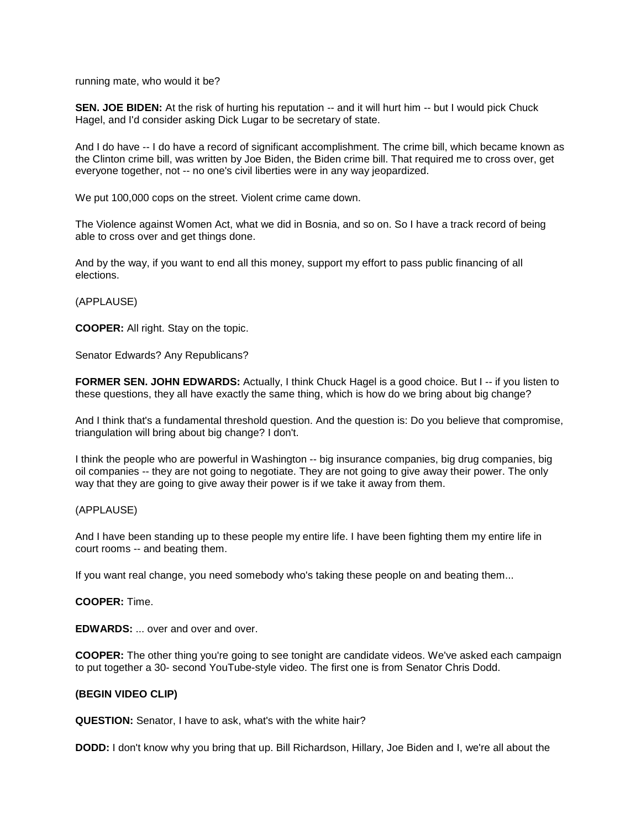running mate, who would it be?

**SEN. JOE BIDEN:** At the risk of hurting his reputation -- and it will hurt him -- but I would pick Chuck Hagel, and I'd consider asking Dick Lugar to be secretary of state.

And I do have -- I do have a record of significant accomplishment. The crime bill, which became known as the Clinton crime bill, was written by Joe Biden, the Biden crime bill. That required me to cross over, get everyone together, not -- no one's civil liberties were in any way jeopardized.

We put 100,000 cops on the street. Violent crime came down.

The Violence against Women Act, what we did in Bosnia, and so on. So I have a track record of being able to cross over and get things done.

And by the way, if you want to end all this money, support my effort to pass public financing of all elections.

(APPLAUSE)

**COOPER:** All right. Stay on the topic.

Senator Edwards? Any Republicans?

**FORMER SEN. JOHN EDWARDS:** Actually, I think Chuck Hagel is a good choice. But I -- if you listen to these questions, they all have exactly the same thing, which is how do we bring about big change?

And I think that's a fundamental threshold question. And the question is: Do you believe that compromise, triangulation will bring about big change? I don't.

I think the people who are powerful in Washington -- big insurance companies, big drug companies, big oil companies -- they are not going to negotiate. They are not going to give away their power. The only way that they are going to give away their power is if we take it away from them.

## (APPLAUSE)

And I have been standing up to these people my entire life. I have been fighting them my entire life in court rooms -- and beating them.

If you want real change, you need somebody who's taking these people on and beating them...

## **COOPER:** Time.

**EDWARDS:** ... over and over and over.

**COOPER:** The other thing you're going to see tonight are candidate videos. We've asked each campaign to put together a 30- second YouTube-style video. The first one is from Senator Chris Dodd.

# **(BEGIN VIDEO CLIP)**

**QUESTION:** Senator, I have to ask, what's with the white hair?

**DODD:** I don't know why you bring that up. Bill Richardson, Hillary, Joe Biden and I, we're all about the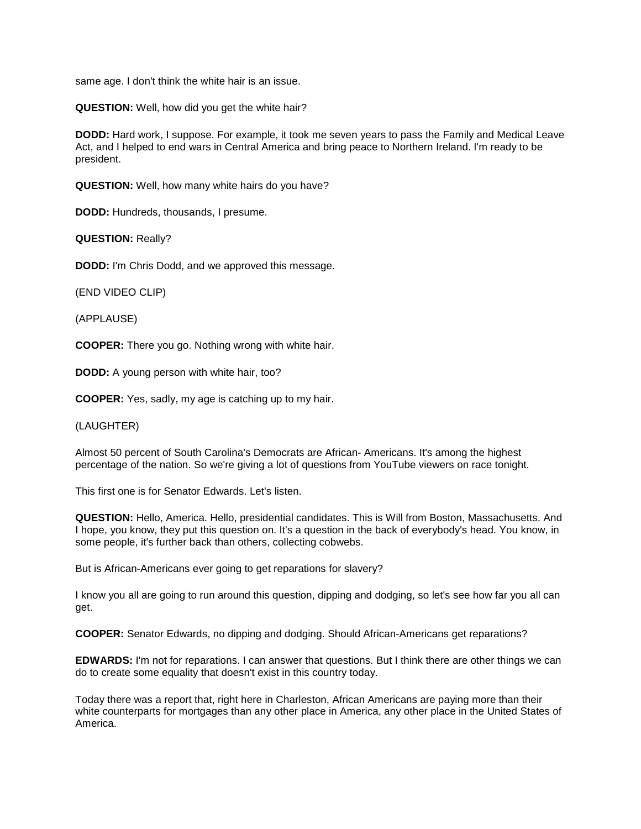same age. I don't think the white hair is an issue.

**QUESTION:** Well, how did you get the white hair?

**DODD:** Hard work, I suppose. For example, it took me seven years to pass the Family and Medical Leave Act, and I helped to end wars in Central America and bring peace to Northern Ireland. I'm ready to be president.

**QUESTION:** Well, how many white hairs do you have?

**DODD:** Hundreds, thousands, I presume.

**QUESTION:** Really?

**DODD:** I'm Chris Dodd, and we approved this message.

(END VIDEO CLIP)

(APPLAUSE)

**COOPER:** There you go. Nothing wrong with white hair.

**DODD:** A young person with white hair, too?

**COOPER:** Yes, sadly, my age is catching up to my hair.

(LAUGHTER)

Almost 50 percent of South Carolina's Democrats are African- Americans. It's among the highest percentage of the nation. So we're giving a lot of questions from YouTube viewers on race tonight.

This first one is for Senator Edwards. Let's listen.

**QUESTION:** Hello, America. Hello, presidential candidates. This is Will from Boston, Massachusetts. And I hope, you know, they put this question on. It's a question in the back of everybody's head. You know, in some people, it's further back than others, collecting cobwebs.

But is African-Americans ever going to get reparations for slavery?

I know you all are going to run around this question, dipping and dodging, so let's see how far you all can get.

**COOPER:** Senator Edwards, no dipping and dodging. Should African-Americans get reparations?

**EDWARDS:** I'm not for reparations. I can answer that questions. But I think there are other things we can do to create some equality that doesn't exist in this country today.

Today there was a report that, right here in Charleston, African Americans are paying more than their white counterparts for mortgages than any other place in America, any other place in the United States of America.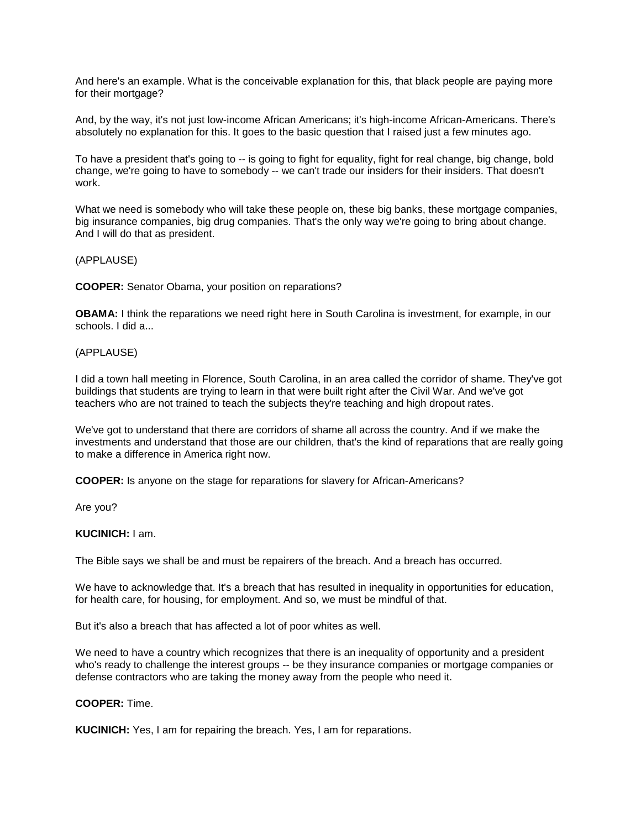And here's an example. What is the conceivable explanation for this, that black people are paying more for their mortgage?

And, by the way, it's not just low-income African Americans; it's high-income African-Americans. There's absolutely no explanation for this. It goes to the basic question that I raised just a few minutes ago.

To have a president that's going to -- is going to fight for equality, fight for real change, big change, bold change, we're going to have to somebody -- we can't trade our insiders for their insiders. That doesn't work.

What we need is somebody who will take these people on, these big banks, these mortgage companies, big insurance companies, big drug companies. That's the only way we're going to bring about change. And I will do that as president.

(APPLAUSE)

**COOPER:** Senator Obama, your position on reparations?

**OBAMA:** I think the reparations we need right here in South Carolina is investment, for example, in our schools. I did a...

## (APPLAUSE)

I did a town hall meeting in Florence, South Carolina, in an area called the corridor of shame. They've got buildings that students are trying to learn in that were built right after the Civil War. And we've got teachers who are not trained to teach the subjects they're teaching and high dropout rates.

We've got to understand that there are corridors of shame all across the country. And if we make the investments and understand that those are our children, that's the kind of reparations that are really going to make a difference in America right now.

**COOPER:** Is anyone on the stage for reparations for slavery for African-Americans?

Are you?

## **KUCINICH:** I am.

The Bible says we shall be and must be repairers of the breach. And a breach has occurred.

We have to acknowledge that. It's a breach that has resulted in inequality in opportunities for education, for health care, for housing, for employment. And so, we must be mindful of that.

But it's also a breach that has affected a lot of poor whites as well.

We need to have a country which recognizes that there is an inequality of opportunity and a president who's ready to challenge the interest groups -- be they insurance companies or mortgage companies or defense contractors who are taking the money away from the people who need it.

# **COOPER:** Time.

**KUCINICH:** Yes, I am for repairing the breach. Yes, I am for reparations.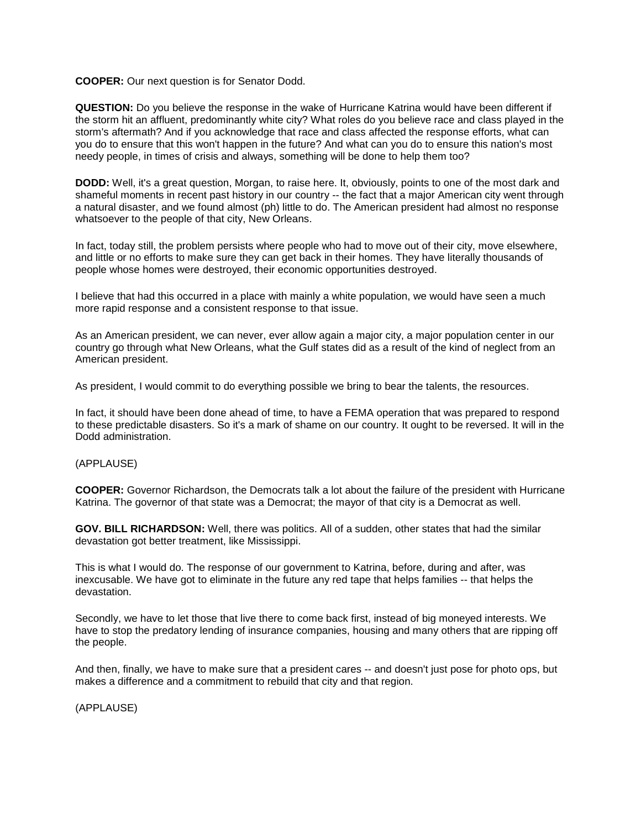## **COOPER:** Our next question is for Senator Dodd.

**QUESTION:** Do you believe the response in the wake of Hurricane Katrina would have been different if the storm hit an affluent, predominantly white city? What roles do you believe race and class played in the storm's aftermath? And if you acknowledge that race and class affected the response efforts, what can you do to ensure that this won't happen in the future? And what can you do to ensure this nation's most needy people, in times of crisis and always, something will be done to help them too?

**DODD:** Well, it's a great question, Morgan, to raise here. It, obviously, points to one of the most dark and shameful moments in recent past history in our country -- the fact that a major American city went through a natural disaster, and we found almost (ph) little to do. The American president had almost no response whatsoever to the people of that city, New Orleans.

In fact, today still, the problem persists where people who had to move out of their city, move elsewhere, and little or no efforts to make sure they can get back in their homes. They have literally thousands of people whose homes were destroyed, their economic opportunities destroyed.

I believe that had this occurred in a place with mainly a white population, we would have seen a much more rapid response and a consistent response to that issue.

As an American president, we can never, ever allow again a major city, a major population center in our country go through what New Orleans, what the Gulf states did as a result of the kind of neglect from an American president.

As president, I would commit to do everything possible we bring to bear the talents, the resources.

In fact, it should have been done ahead of time, to have a FEMA operation that was prepared to respond to these predictable disasters. So it's a mark of shame on our country. It ought to be reversed. It will in the Dodd administration.

(APPLAUSE)

**COOPER:** Governor Richardson, the Democrats talk a lot about the failure of the president with Hurricane Katrina. The governor of that state was a Democrat; the mayor of that city is a Democrat as well.

**GOV. BILL RICHARDSON:** Well, there was politics. All of a sudden, other states that had the similar devastation got better treatment, like Mississippi.

This is what I would do. The response of our government to Katrina, before, during and after, was inexcusable. We have got to eliminate in the future any red tape that helps families -- that helps the devastation.

Secondly, we have to let those that live there to come back first, instead of big moneyed interests. We have to stop the predatory lending of insurance companies, housing and many others that are ripping off the people.

And then, finally, we have to make sure that a president cares -- and doesn't just pose for photo ops, but makes a difference and a commitment to rebuild that city and that region.

(APPLAUSE)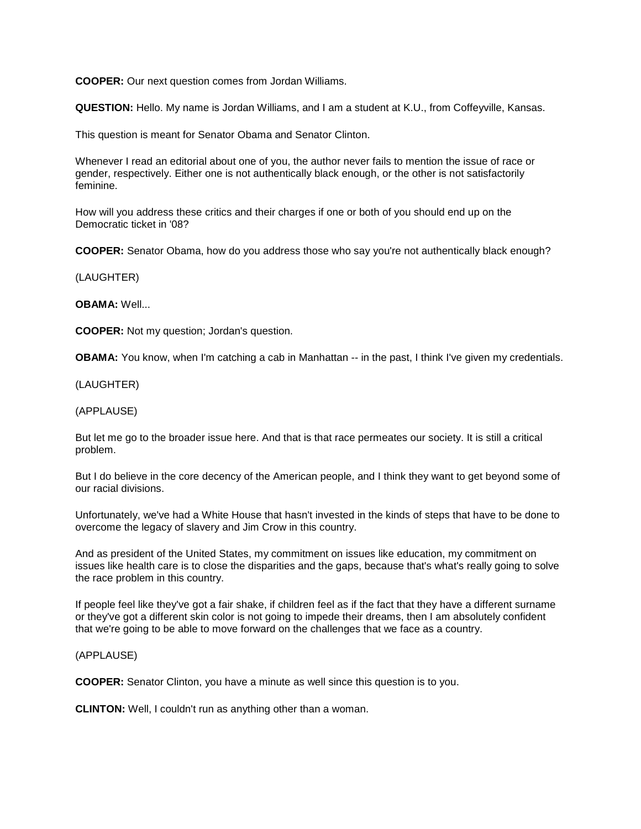**COOPER:** Our next question comes from Jordan Williams.

**QUESTION:** Hello. My name is Jordan Williams, and I am a student at K.U., from Coffeyville, Kansas.

This question is meant for Senator Obama and Senator Clinton.

Whenever I read an editorial about one of you, the author never fails to mention the issue of race or gender, respectively. Either one is not authentically black enough, or the other is not satisfactorily feminine.

How will you address these critics and their charges if one or both of you should end up on the Democratic ticket in '08?

**COOPER:** Senator Obama, how do you address those who say you're not authentically black enough?

(LAUGHTER)

**OBAMA:** Well...

**COOPER:** Not my question; Jordan's question.

**OBAMA:** You know, when I'm catching a cab in Manhattan -- in the past, I think I've given my credentials.

(LAUGHTER)

(APPLAUSE)

But let me go to the broader issue here. And that is that race permeates our society. It is still a critical problem.

But I do believe in the core decency of the American people, and I think they want to get beyond some of our racial divisions.

Unfortunately, we've had a White House that hasn't invested in the kinds of steps that have to be done to overcome the legacy of slavery and Jim Crow in this country.

And as president of the United States, my commitment on issues like education, my commitment on issues like health care is to close the disparities and the gaps, because that's what's really going to solve the race problem in this country.

If people feel like they've got a fair shake, if children feel as if the fact that they have a different surname or they've got a different skin color is not going to impede their dreams, then I am absolutely confident that we're going to be able to move forward on the challenges that we face as a country.

# (APPLAUSE)

**COOPER:** Senator Clinton, you have a minute as well since this question is to you.

**CLINTON:** Well, I couldn't run as anything other than a woman.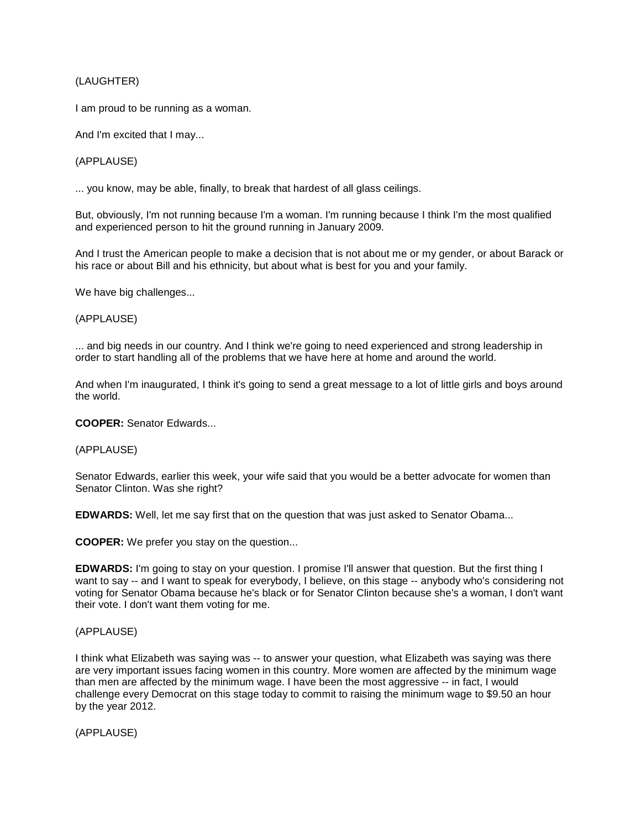# (LAUGHTER)

I am proud to be running as a woman.

And I'm excited that I may...

# (APPLAUSE)

... you know, may be able, finally, to break that hardest of all glass ceilings.

But, obviously, I'm not running because I'm a woman. I'm running because I think I'm the most qualified and experienced person to hit the ground running in January 2009.

And I trust the American people to make a decision that is not about me or my gender, or about Barack or his race or about Bill and his ethnicity, but about what is best for you and your family.

We have big challenges...

# (APPLAUSE)

... and big needs in our country. And I think we're going to need experienced and strong leadership in order to start handling all of the problems that we have here at home and around the world.

And when I'm inaugurated, I think it's going to send a great message to a lot of little girls and boys around the world.

**COOPER:** Senator Edwards...

(APPLAUSE)

Senator Edwards, earlier this week, your wife said that you would be a better advocate for women than Senator Clinton. Was she right?

**EDWARDS:** Well, let me say first that on the question that was just asked to Senator Obama...

**COOPER:** We prefer you stay on the question...

**EDWARDS:** I'm going to stay on your question. I promise I'll answer that question. But the first thing I want to say -- and I want to speak for everybody, I believe, on this stage -- anybody who's considering not voting for Senator Obama because he's black or for Senator Clinton because she's a woman, I don't want their vote. I don't want them voting for me.

# (APPLAUSE)

I think what Elizabeth was saying was -- to answer your question, what Elizabeth was saying was there are very important issues facing women in this country. More women are affected by the minimum wage than men are affected by the minimum wage. I have been the most aggressive -- in fact, I would challenge every Democrat on this stage today to commit to raising the minimum wage to \$9.50 an hour by the year 2012.

(APPLAUSE)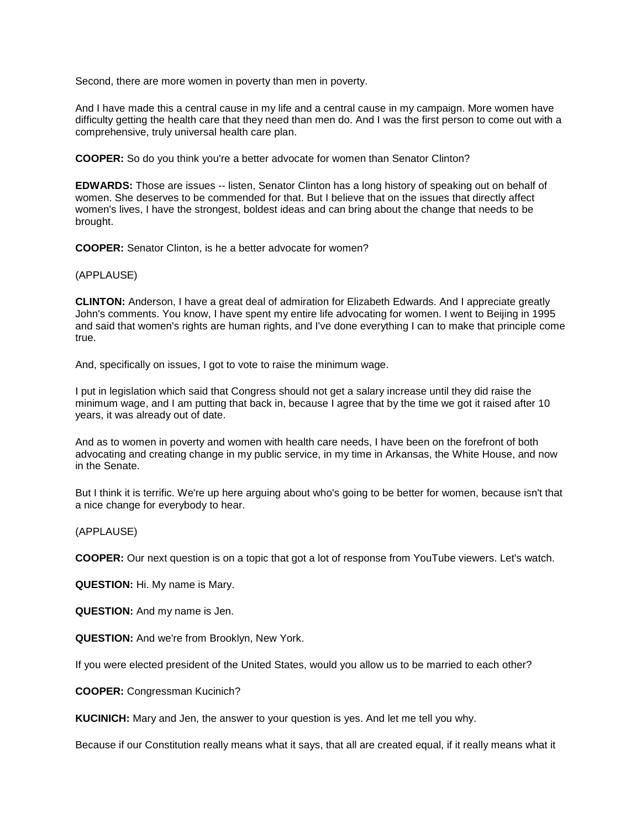Second, there are more women in poverty than men in poverty.

And I have made this a central cause in my life and a central cause in my campaign. More women have difficulty getting the health care that they need than men do. And I was the first person to come out with a comprehensive, truly universal health care plan.

**COOPER:** So do you think you're a better advocate for women than Senator Clinton?

**EDWARDS:** Those are issues -- listen, Senator Clinton has a long history of speaking out on behalf of women. She deserves to be commended for that. But I believe that on the issues that directly affect women's lives, I have the strongest, boldest ideas and can bring about the change that needs to be brought.

**COOPER:** Senator Clinton, is he a better advocate for women?

(APPLAUSE)

**CLINTON:** Anderson, I have a great deal of admiration for Elizabeth Edwards. And I appreciate greatly John's comments. You know, I have spent my entire life advocating for women. I went to Beijing in 1995 and said that women's rights are human rights, and I've done everything I can to make that principle come true.

And, specifically on issues, I got to vote to raise the minimum wage.

I put in legislation which said that Congress should not get a salary increase until they did raise the minimum wage, and I am putting that back in, because I agree that by the time we got it raised after 10 years, it was already out of date.

And as to women in poverty and women with health care needs, I have been on the forefront of both advocating and creating change in my public service, in my time in Arkansas, the White House, and now in the Senate.

But I think it is terrific. We're up here arguing about who's going to be better for women, because isn't that a nice change for everybody to hear.

(APPLAUSE)

**COOPER:** Our next question is on a topic that got a lot of response from YouTube viewers. Let's watch.

**QUESTION:** Hi. My name is Mary.

**QUESTION:** And my name is Jen.

**QUESTION:** And we're from Brooklyn, New York.

If you were elected president of the United States, would you allow us to be married to each other?

**COOPER:** Congressman Kucinich?

**KUCINICH:** Mary and Jen, the answer to your question is yes. And let me tell you why.

Because if our Constitution really means what it says, that all are created equal, if it really means what it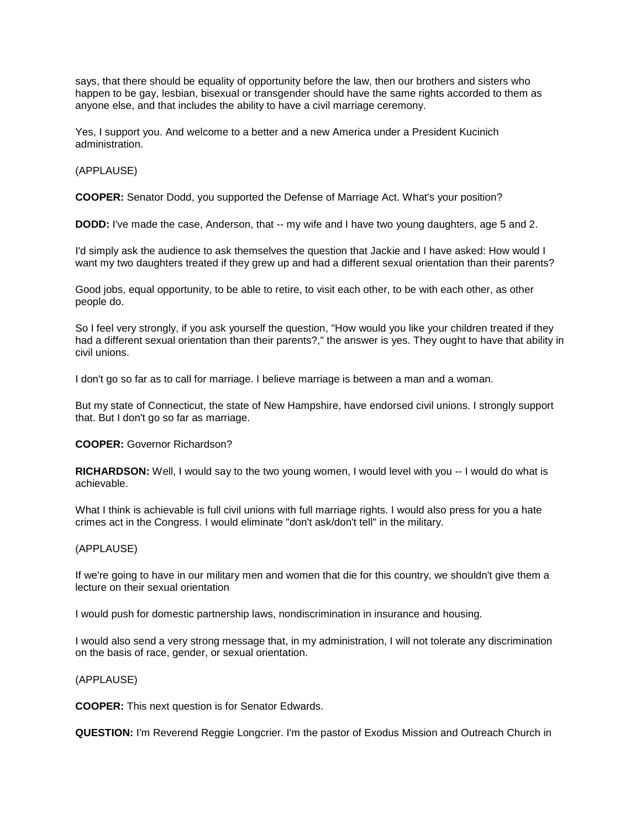says, that there should be equality of opportunity before the law, then our brothers and sisters who happen to be gay, lesbian, bisexual or transgender should have the same rights accorded to them as anyone else, and that includes the ability to have a civil marriage ceremony.

Yes, I support you. And welcome to a better and a new America under a President Kucinich administration.

(APPLAUSE)

**COOPER:** Senator Dodd, you supported the Defense of Marriage Act. What's your position?

**DODD:** I've made the case, Anderson, that -- my wife and I have two young daughters, age 5 and 2.

I'd simply ask the audience to ask themselves the question that Jackie and I have asked: How would I want my two daughters treated if they grew up and had a different sexual orientation than their parents?

Good jobs, equal opportunity, to be able to retire, to visit each other, to be with each other, as other people do.

So I feel very strongly, if you ask yourself the question, "How would you like your children treated if they had a different sexual orientation than their parents?," the answer is yes. They ought to have that ability in civil unions.

I don't go so far as to call for marriage. I believe marriage is between a man and a woman.

But my state of Connecticut, the state of New Hampshire, have endorsed civil unions. I strongly support that. But I don't go so far as marriage.

## **COOPER:** Governor Richardson?

**RICHARDSON:** Well, I would say to the two young women, I would level with you -- I would do what is achievable.

What I think is achievable is full civil unions with full marriage rights. I would also press for you a hate crimes act in the Congress. I would eliminate "don't ask/don't tell" in the military.

## (APPLAUSE)

If we're going to have in our military men and women that die for this country, we shouldn't give them a lecture on their sexual orientation

I would push for domestic partnership laws, nondiscrimination in insurance and housing.

I would also send a very strong message that, in my administration, I will not tolerate any discrimination on the basis of race, gender, or sexual orientation.

## (APPLAUSE)

**COOPER:** This next question is for Senator Edwards.

**QUESTION:** I'm Reverend Reggie Longcrier. I'm the pastor of Exodus Mission and Outreach Church in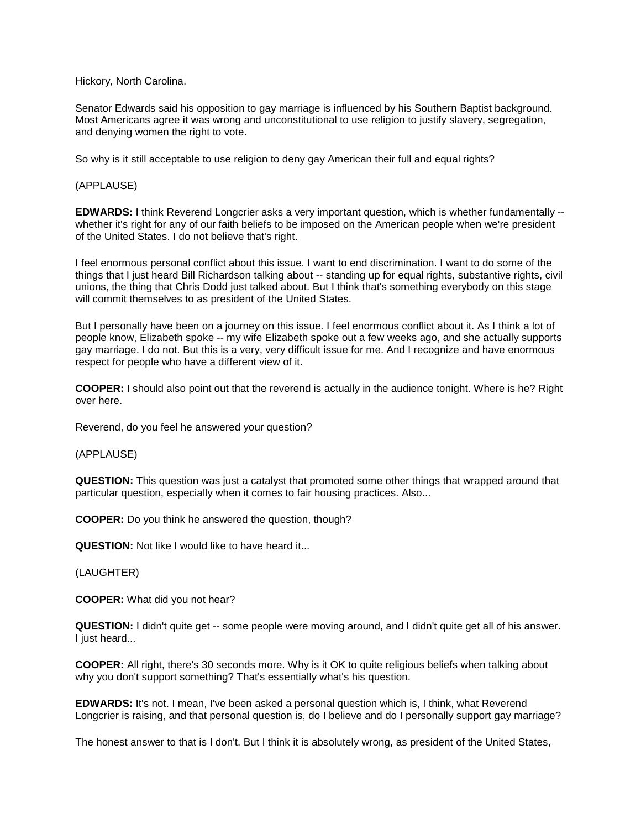Hickory, North Carolina.

Senator Edwards said his opposition to gay marriage is influenced by his Southern Baptist background. Most Americans agree it was wrong and unconstitutional to use religion to justify slavery, segregation, and denying women the right to vote.

So why is it still acceptable to use religion to deny gay American their full and equal rights?

## (APPLAUSE)

**EDWARDS:** I think Reverend Longcrier asks a very important question, which is whether fundamentally - whether it's right for any of our faith beliefs to be imposed on the American people when we're president of the United States. I do not believe that's right.

I feel enormous personal conflict about this issue. I want to end discrimination. I want to do some of the things that I just heard Bill Richardson talking about -- standing up for equal rights, substantive rights, civil unions, the thing that Chris Dodd just talked about. But I think that's something everybody on this stage will commit themselves to as president of the United States.

But I personally have been on a journey on this issue. I feel enormous conflict about it. As I think a lot of people know, Elizabeth spoke -- my wife Elizabeth spoke out a few weeks ago, and she actually supports gay marriage. I do not. But this is a very, very difficult issue for me. And I recognize and have enormous respect for people who have a different view of it.

**COOPER:** I should also point out that the reverend is actually in the audience tonight. Where is he? Right over here.

Reverend, do you feel he answered your question?

(APPLAUSE)

**QUESTION:** This question was just a catalyst that promoted some other things that wrapped around that particular question, especially when it comes to fair housing practices. Also...

**COOPER:** Do you think he answered the question, though?

**QUESTION:** Not like I would like to have heard it...

(LAUGHTER)

**COOPER:** What did you not hear?

**QUESTION:** I didn't quite get -- some people were moving around, and I didn't quite get all of his answer. I just heard...

**COOPER:** All right, there's 30 seconds more. Why is it OK to quite religious beliefs when talking about why you don't support something? That's essentially what's his question.

**EDWARDS:** It's not. I mean, I've been asked a personal question which is, I think, what Reverend Longcrier is raising, and that personal question is, do I believe and do I personally support gay marriage?

The honest answer to that is I don't. But I think it is absolutely wrong, as president of the United States,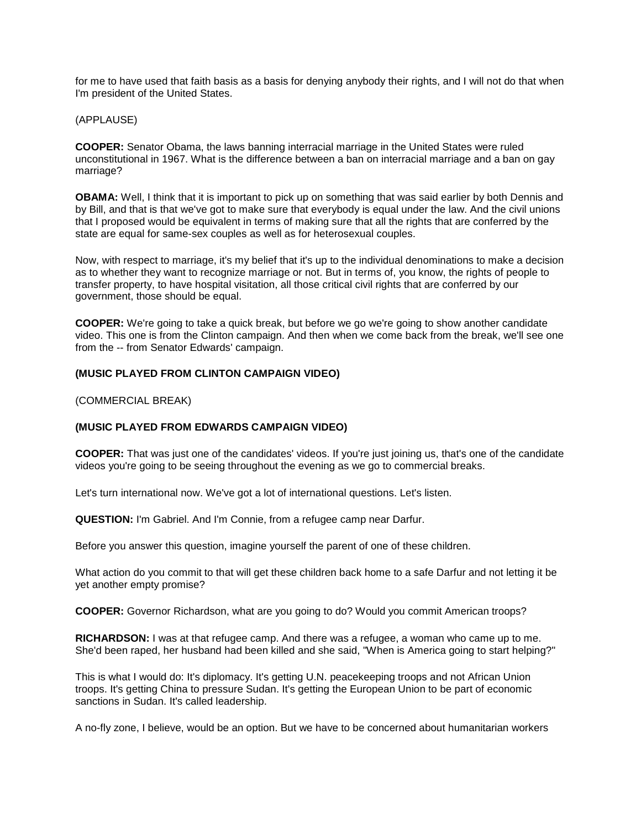for me to have used that faith basis as a basis for denying anybody their rights, and I will not do that when I'm president of the United States.

(APPLAUSE)

**COOPER:** Senator Obama, the laws banning interracial marriage in the United States were ruled unconstitutional in 1967. What is the difference between a ban on interracial marriage and a ban on gay marriage?

**OBAMA:** Well, I think that it is important to pick up on something that was said earlier by both Dennis and by Bill, and that is that we've got to make sure that everybody is equal under the law. And the civil unions that I proposed would be equivalent in terms of making sure that all the rights that are conferred by the state are equal for same-sex couples as well as for heterosexual couples.

Now, with respect to marriage, it's my belief that it's up to the individual denominations to make a decision as to whether they want to recognize marriage or not. But in terms of, you know, the rights of people to transfer property, to have hospital visitation, all those critical civil rights that are conferred by our government, those should be equal.

**COOPER:** We're going to take a quick break, but before we go we're going to show another candidate video. This one is from the Clinton campaign. And then when we come back from the break, we'll see one from the -- from Senator Edwards' campaign.

# **(MUSIC PLAYED FROM CLINTON CAMPAIGN VIDEO)**

(COMMERCIAL BREAK)

# **(MUSIC PLAYED FROM EDWARDS CAMPAIGN VIDEO)**

**COOPER:** That was just one of the candidates' videos. If you're just joining us, that's one of the candidate videos you're going to be seeing throughout the evening as we go to commercial breaks.

Let's turn international now. We've got a lot of international questions. Let's listen.

**QUESTION:** I'm Gabriel. And I'm Connie, from a refugee camp near Darfur.

Before you answer this question, imagine yourself the parent of one of these children.

What action do you commit to that will get these children back home to a safe Darfur and not letting it be yet another empty promise?

**COOPER:** Governor Richardson, what are you going to do? Would you commit American troops?

**RICHARDSON:** I was at that refugee camp. And there was a refugee, a woman who came up to me. She'd been raped, her husband had been killed and she said, "When is America going to start helping?"

This is what I would do: It's diplomacy. It's getting U.N. peacekeeping troops and not African Union troops. It's getting China to pressure Sudan. It's getting the European Union to be part of economic sanctions in Sudan. It's called leadership.

A no-fly zone, I believe, would be an option. But we have to be concerned about humanitarian workers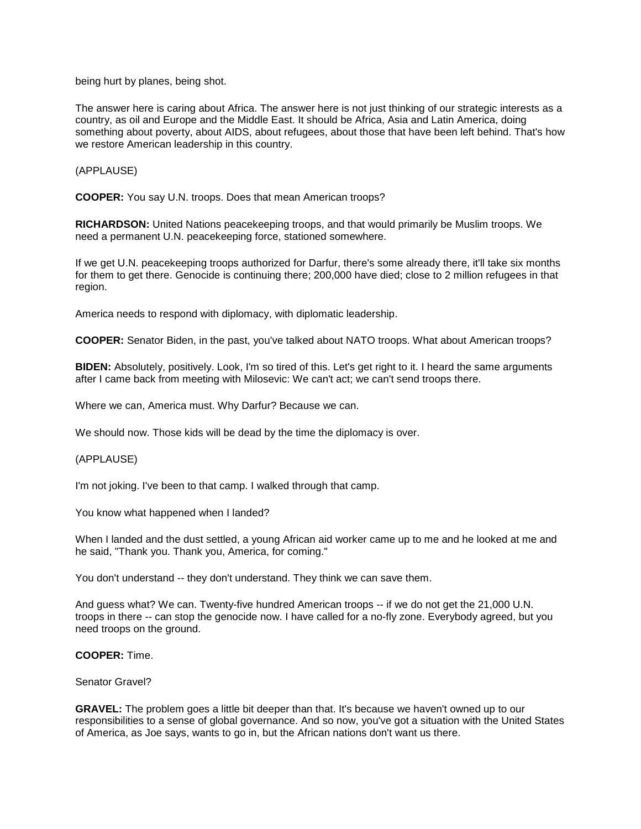being hurt by planes, being shot.

The answer here is caring about Africa. The answer here is not just thinking of our strategic interests as a country, as oil and Europe and the Middle East. It should be Africa, Asia and Latin America, doing something about poverty, about AIDS, about refugees, about those that have been left behind. That's how we restore American leadership in this country.

## (APPLAUSE)

**COOPER:** You say U.N. troops. Does that mean American troops?

**RICHARDSON:** United Nations peacekeeping troops, and that would primarily be Muslim troops. We need a permanent U.N. peacekeeping force, stationed somewhere.

If we get U.N. peacekeeping troops authorized for Darfur, there's some already there, it'll take six months for them to get there. Genocide is continuing there; 200,000 have died; close to 2 million refugees in that region.

America needs to respond with diplomacy, with diplomatic leadership.

**COOPER:** Senator Biden, in the past, you've talked about NATO troops. What about American troops?

**BIDEN:** Absolutely, positively. Look, I'm so tired of this. Let's get right to it. I heard the same arguments after I came back from meeting with Milosevic: We can't act; we can't send troops there.

Where we can, America must. Why Darfur? Because we can.

We should now. Those kids will be dead by the time the diplomacy is over.

## (APPLAUSE)

I'm not joking. I've been to that camp. I walked through that camp.

You know what happened when I landed?

When I landed and the dust settled, a young African aid worker came up to me and he looked at me and he said, "Thank you. Thank you, America, for coming."

You don't understand -- they don't understand. They think we can save them.

And guess what? We can. Twenty-five hundred American troops -- if we do not get the 21,000 U.N. troops in there -- can stop the genocide now. I have called for a no-fly zone. Everybody agreed, but you need troops on the ground.

# **COOPER:** Time.

## Senator Gravel?

**GRAVEL:** The problem goes a little bit deeper than that. It's because we haven't owned up to our responsibilities to a sense of global governance. And so now, you've got a situation with the United States of America, as Joe says, wants to go in, but the African nations don't want us there.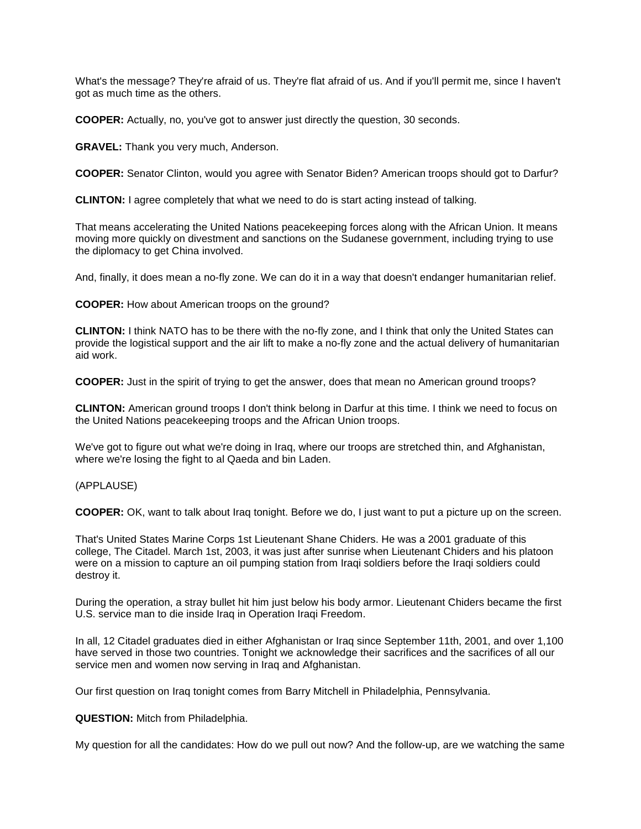What's the message? They're afraid of us. They're flat afraid of us. And if you'll permit me, since I haven't got as much time as the others.

**COOPER:** Actually, no, you've got to answer just directly the question, 30 seconds.

**GRAVEL:** Thank you very much, Anderson.

**COOPER:** Senator Clinton, would you agree with Senator Biden? American troops should got to Darfur?

**CLINTON:** I agree completely that what we need to do is start acting instead of talking.

That means accelerating the United Nations peacekeeping forces along with the African Union. It means moving more quickly on divestment and sanctions on the Sudanese government, including trying to use the diplomacy to get China involved.

And, finally, it does mean a no-fly zone. We can do it in a way that doesn't endanger humanitarian relief.

**COOPER:** How about American troops on the ground?

**CLINTON:** I think NATO has to be there with the no-fly zone, and I think that only the United States can provide the logistical support and the air lift to make a no-fly zone and the actual delivery of humanitarian aid work.

**COOPER:** Just in the spirit of trying to get the answer, does that mean no American ground troops?

**CLINTON:** American ground troops I don't think belong in Darfur at this time. I think we need to focus on the United Nations peacekeeping troops and the African Union troops.

We've got to figure out what we're doing in Iraq, where our troops are stretched thin, and Afghanistan, where we're losing the fight to al Qaeda and bin Laden.

## (APPLAUSE)

**COOPER:** OK, want to talk about Iraq tonight. Before we do, I just want to put a picture up on the screen.

That's United States Marine Corps 1st Lieutenant Shane Chiders. He was a 2001 graduate of this college, The Citadel. March 1st, 2003, it was just after sunrise when Lieutenant Chiders and his platoon were on a mission to capture an oil pumping station from Iraqi soldiers before the Iraqi soldiers could destroy it.

During the operation, a stray bullet hit him just below his body armor. Lieutenant Chiders became the first U.S. service man to die inside Iraq in Operation Iraqi Freedom.

In all, 12 Citadel graduates died in either Afghanistan or Iraq since September 11th, 2001, and over 1,100 have served in those two countries. Tonight we acknowledge their sacrifices and the sacrifices of all our service men and women now serving in Iraq and Afghanistan.

Our first question on Iraq tonight comes from Barry Mitchell in Philadelphia, Pennsylvania.

## **QUESTION:** Mitch from Philadelphia.

My question for all the candidates: How do we pull out now? And the follow-up, are we watching the same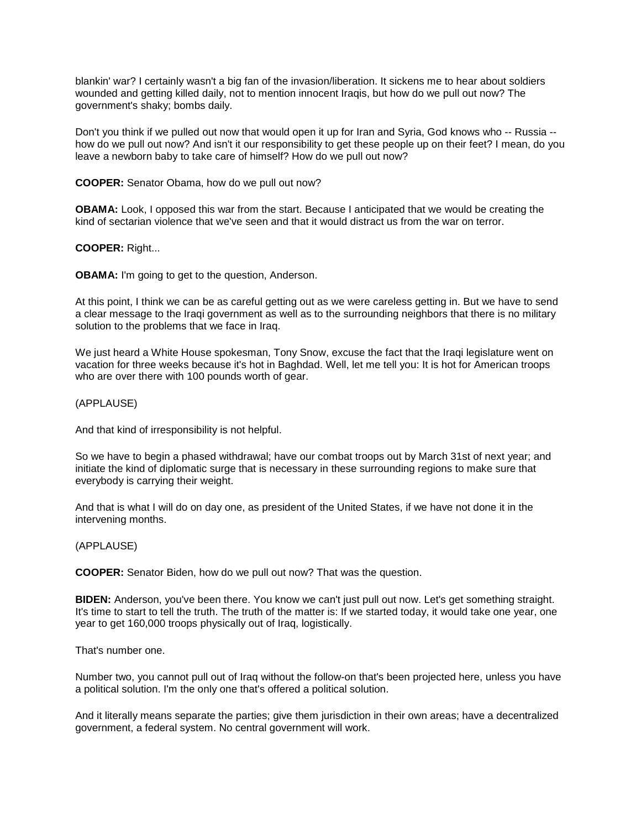blankin' war? I certainly wasn't a big fan of the invasion/liberation. It sickens me to hear about soldiers wounded and getting killed daily, not to mention innocent Iraqis, but how do we pull out now? The government's shaky; bombs daily.

Don't you think if we pulled out now that would open it up for Iran and Syria, God knows who -- Russia - how do we pull out now? And isn't it our responsibility to get these people up on their feet? I mean, do you leave a newborn baby to take care of himself? How do we pull out now?

**COOPER:** Senator Obama, how do we pull out now?

**OBAMA:** Look, I opposed this war from the start. Because I anticipated that we would be creating the kind of sectarian violence that we've seen and that it would distract us from the war on terror.

**COOPER:** Right...

**OBAMA:** I'm going to get to the question, Anderson.

At this point, I think we can be as careful getting out as we were careless getting in. But we have to send a clear message to the Iraqi government as well as to the surrounding neighbors that there is no military solution to the problems that we face in Iraq.

We just heard a White House spokesman, Tony Snow, excuse the fact that the Iraqi legislature went on vacation for three weeks because it's hot in Baghdad. Well, let me tell you: It is hot for American troops who are over there with 100 pounds worth of gear.

(APPLAUSE)

And that kind of irresponsibility is not helpful.

So we have to begin a phased withdrawal; have our combat troops out by March 31st of next year; and initiate the kind of diplomatic surge that is necessary in these surrounding regions to make sure that everybody is carrying their weight.

And that is what I will do on day one, as president of the United States, if we have not done it in the intervening months.

(APPLAUSE)

**COOPER:** Senator Biden, how do we pull out now? That was the question.

**BIDEN:** Anderson, you've been there. You know we can't just pull out now. Let's get something straight. It's time to start to tell the truth. The truth of the matter is: If we started today, it would take one year, one year to get 160,000 troops physically out of Iraq, logistically.

That's number one.

Number two, you cannot pull out of Iraq without the follow-on that's been projected here, unless you have a political solution. I'm the only one that's offered a political solution.

And it literally means separate the parties; give them jurisdiction in their own areas; have a decentralized government, a federal system. No central government will work.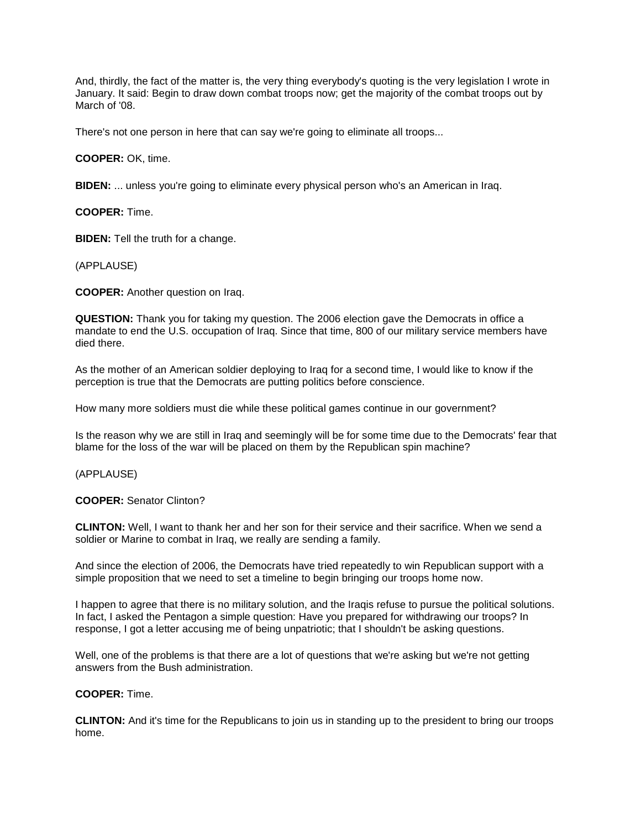And, thirdly, the fact of the matter is, the very thing everybody's quoting is the very legislation I wrote in January. It said: Begin to draw down combat troops now; get the majority of the combat troops out by March of '08.

There's not one person in here that can say we're going to eliminate all troops...

**COOPER:** OK, time.

**BIDEN:** ... unless you're going to eliminate every physical person who's an American in Iraq.

**COOPER:** Time.

**BIDEN:** Tell the truth for a change.

(APPLAUSE)

**COOPER:** Another question on Iraq.

**QUESTION:** Thank you for taking my question. The 2006 election gave the Democrats in office a mandate to end the U.S. occupation of Iraq. Since that time, 800 of our military service members have died there.

As the mother of an American soldier deploying to Iraq for a second time, I would like to know if the perception is true that the Democrats are putting politics before conscience.

How many more soldiers must die while these political games continue in our government?

Is the reason why we are still in Iraq and seemingly will be for some time due to the Democrats' fear that blame for the loss of the war will be placed on them by the Republican spin machine?

(APPLAUSE)

**COOPER:** Senator Clinton?

**CLINTON:** Well, I want to thank her and her son for their service and their sacrifice. When we send a soldier or Marine to combat in Iraq, we really are sending a family.

And since the election of 2006, the Democrats have tried repeatedly to win Republican support with a simple proposition that we need to set a timeline to begin bringing our troops home now.

I happen to agree that there is no military solution, and the Iraqis refuse to pursue the political solutions. In fact, I asked the Pentagon a simple question: Have you prepared for withdrawing our troops? In response, I got a letter accusing me of being unpatriotic; that I shouldn't be asking questions.

Well, one of the problems is that there are a lot of questions that we're asking but we're not getting answers from the Bush administration.

# **COOPER:** Time.

**CLINTON:** And it's time for the Republicans to join us in standing up to the president to bring our troops home.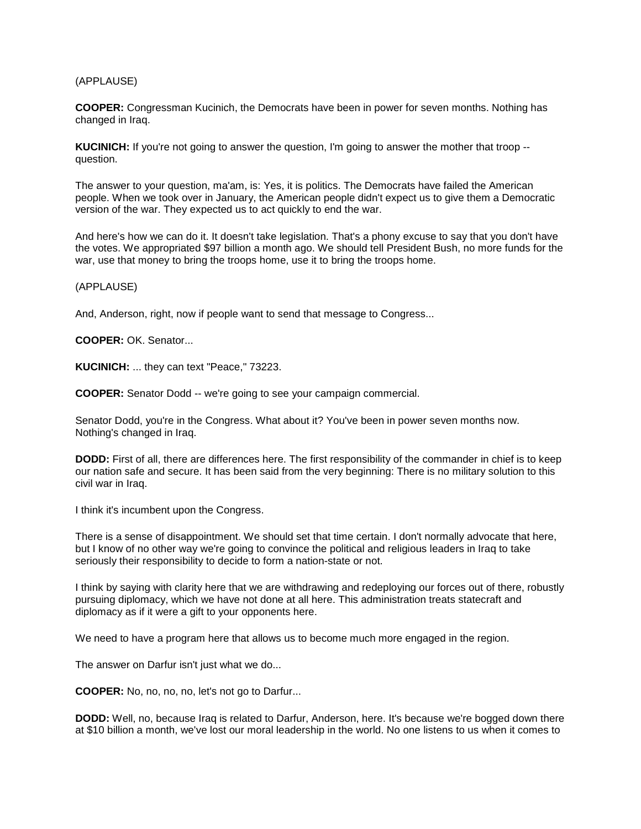## (APPLAUSE)

**COOPER:** Congressman Kucinich, the Democrats have been in power for seven months. Nothing has changed in Iraq.

**KUCINICH:** If you're not going to answer the question, I'm going to answer the mother that troop -question.

The answer to your question, ma'am, is: Yes, it is politics. The Democrats have failed the American people. When we took over in January, the American people didn't expect us to give them a Democratic version of the war. They expected us to act quickly to end the war.

And here's how we can do it. It doesn't take legislation. That's a phony excuse to say that you don't have the votes. We appropriated \$97 billion a month ago. We should tell President Bush, no more funds for the war, use that money to bring the troops home, use it to bring the troops home.

## (APPLAUSE)

And, Anderson, right, now if people want to send that message to Congress...

## **COOPER:** OK. Senator...

**KUCINICH:** ... they can text "Peace," 73223.

**COOPER:** Senator Dodd -- we're going to see your campaign commercial.

Senator Dodd, you're in the Congress. What about it? You've been in power seven months now. Nothing's changed in Iraq.

**DODD:** First of all, there are differences here. The first responsibility of the commander in chief is to keep our nation safe and secure. It has been said from the very beginning: There is no military solution to this civil war in Iraq.

I think it's incumbent upon the Congress.

There is a sense of disappointment. We should set that time certain. I don't normally advocate that here, but I know of no other way we're going to convince the political and religious leaders in Iraq to take seriously their responsibility to decide to form a nation-state or not.

I think by saying with clarity here that we are withdrawing and redeploying our forces out of there, robustly pursuing diplomacy, which we have not done at all here. This administration treats statecraft and diplomacy as if it were a gift to your opponents here.

We need to have a program here that allows us to become much more engaged in the region.

The answer on Darfur isn't just what we do...

**COOPER:** No, no, no, no, let's not go to Darfur...

**DODD:** Well, no, because Iraq is related to Darfur, Anderson, here. It's because we're bogged down there at \$10 billion a month, we've lost our moral leadership in the world. No one listens to us when it comes to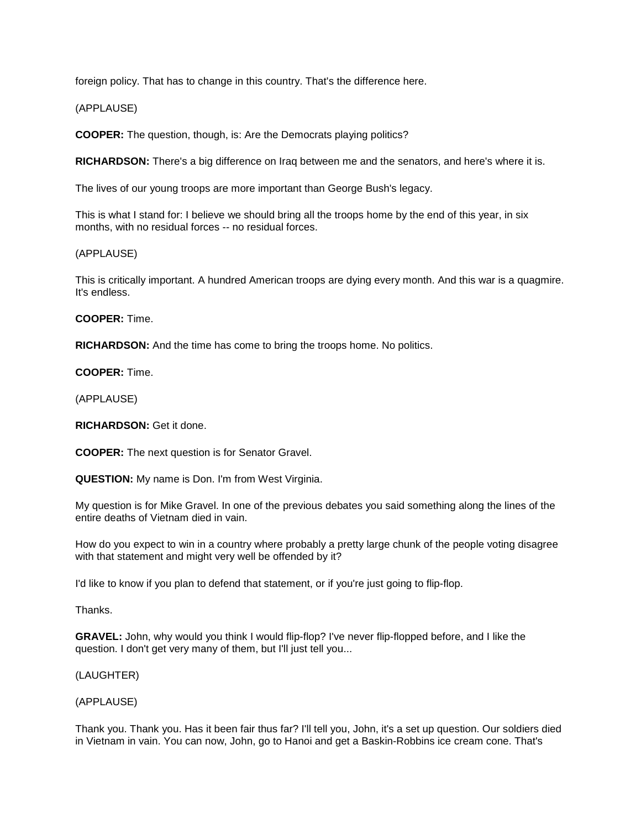foreign policy. That has to change in this country. That's the difference here.

(APPLAUSE)

**COOPER:** The question, though, is: Are the Democrats playing politics?

**RICHARDSON:** There's a big difference on Iraq between me and the senators, and here's where it is.

The lives of our young troops are more important than George Bush's legacy.

This is what I stand for: I believe we should bring all the troops home by the end of this year, in six months, with no residual forces -- no residual forces.

## (APPLAUSE)

This is critically important. A hundred American troops are dying every month. And this war is a quagmire. It's endless.

**COOPER:** Time.

**RICHARDSON:** And the time has come to bring the troops home. No politics.

**COOPER:** Time.

(APPLAUSE)

**RICHARDSON:** Get it done.

**COOPER:** The next question is for Senator Gravel.

**QUESTION:** My name is Don. I'm from West Virginia.

My question is for Mike Gravel. In one of the previous debates you said something along the lines of the entire deaths of Vietnam died in vain.

How do you expect to win in a country where probably a pretty large chunk of the people voting disagree with that statement and might very well be offended by it?

I'd like to know if you plan to defend that statement, or if you're just going to flip-flop.

Thanks.

**GRAVEL:** John, why would you think I would flip-flop? I've never flip-flopped before, and I like the question. I don't get very many of them, but I'll just tell you...

(LAUGHTER)

## (APPLAUSE)

Thank you. Thank you. Has it been fair thus far? I'll tell you, John, it's a set up question. Our soldiers died in Vietnam in vain. You can now, John, go to Hanoi and get a Baskin-Robbins ice cream cone. That's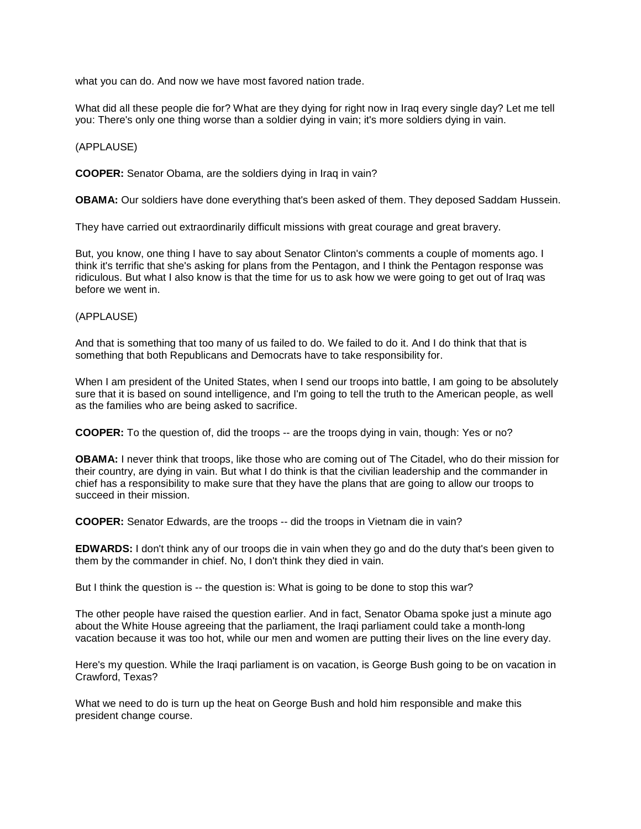what you can do. And now we have most favored nation trade.

What did all these people die for? What are they dying for right now in Iraq every single day? Let me tell you: There's only one thing worse than a soldier dying in vain; it's more soldiers dying in vain.

# (APPLAUSE)

**COOPER:** Senator Obama, are the soldiers dying in Iraq in vain?

**OBAMA:** Our soldiers have done everything that's been asked of them. They deposed Saddam Hussein.

They have carried out extraordinarily difficult missions with great courage and great bravery.

But, you know, one thing I have to say about Senator Clinton's comments a couple of moments ago. I think it's terrific that she's asking for plans from the Pentagon, and I think the Pentagon response was ridiculous. But what I also know is that the time for us to ask how we were going to get out of Iraq was before we went in.

# (APPLAUSE)

And that is something that too many of us failed to do. We failed to do it. And I do think that that is something that both Republicans and Democrats have to take responsibility for.

When I am president of the United States, when I send our troops into battle. I am going to be absolutely sure that it is based on sound intelligence, and I'm going to tell the truth to the American people, as well as the families who are being asked to sacrifice.

**COOPER:** To the question of, did the troops -- are the troops dying in vain, though: Yes or no?

**OBAMA:** I never think that troops, like those who are coming out of The Citadel, who do their mission for their country, are dying in vain. But what I do think is that the civilian leadership and the commander in chief has a responsibility to make sure that they have the plans that are going to allow our troops to succeed in their mission.

**COOPER:** Senator Edwards, are the troops -- did the troops in Vietnam die in vain?

**EDWARDS:** I don't think any of our troops die in vain when they go and do the duty that's been given to them by the commander in chief. No, I don't think they died in vain.

But I think the question is -- the question is: What is going to be done to stop this war?

The other people have raised the question earlier. And in fact, Senator Obama spoke just a minute ago about the White House agreeing that the parliament, the Iraqi parliament could take a month-long vacation because it was too hot, while our men and women are putting their lives on the line every day.

Here's my question. While the Iraqi parliament is on vacation, is George Bush going to be on vacation in Crawford, Texas?

What we need to do is turn up the heat on George Bush and hold him responsible and make this president change course.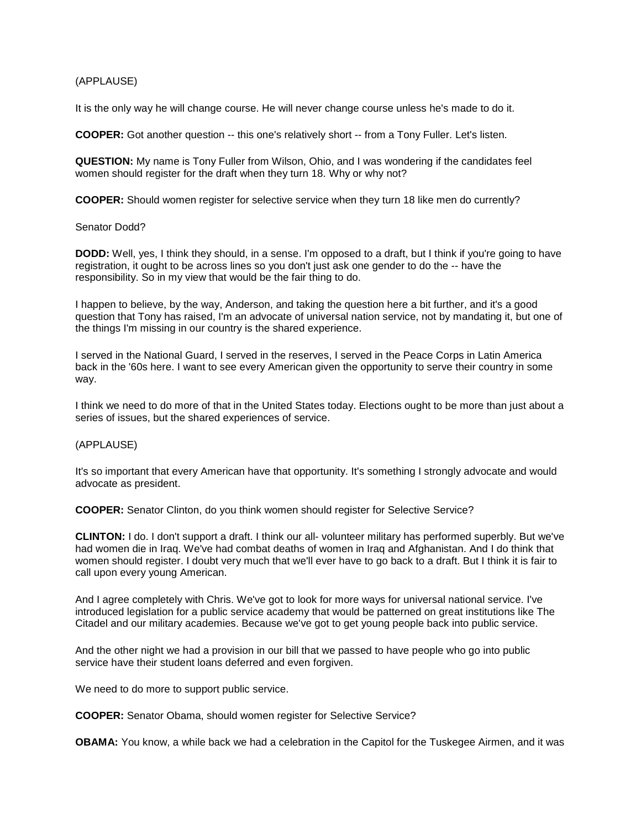# (APPLAUSE)

It is the only way he will change course. He will never change course unless he's made to do it.

**COOPER:** Got another question -- this one's relatively short -- from a Tony Fuller. Let's listen.

**QUESTION:** My name is Tony Fuller from Wilson, Ohio, and I was wondering if the candidates feel women should register for the draft when they turn 18. Why or why not?

**COOPER:** Should women register for selective service when they turn 18 like men do currently?

## Senator Dodd?

**DODD:** Well, yes, I think they should, in a sense. I'm opposed to a draft, but I think if you're going to have registration, it ought to be across lines so you don't just ask one gender to do the -- have the responsibility. So in my view that would be the fair thing to do.

I happen to believe, by the way, Anderson, and taking the question here a bit further, and it's a good question that Tony has raised, I'm an advocate of universal nation service, not by mandating it, but one of the things I'm missing in our country is the shared experience.

I served in the National Guard, I served in the reserves, I served in the Peace Corps in Latin America back in the '60s here. I want to see every American given the opportunity to serve their country in some way.

I think we need to do more of that in the United States today. Elections ought to be more than just about a series of issues, but the shared experiences of service.

## (APPLAUSE)

It's so important that every American have that opportunity. It's something I strongly advocate and would advocate as president.

**COOPER:** Senator Clinton, do you think women should register for Selective Service?

**CLINTON:** I do. I don't support a draft. I think our all- volunteer military has performed superbly. But we've had women die in Iraq. We've had combat deaths of women in Iraq and Afghanistan. And I do think that women should register. I doubt very much that we'll ever have to go back to a draft. But I think it is fair to call upon every young American.

And I agree completely with Chris. We've got to look for more ways for universal national service. I've introduced legislation for a public service academy that would be patterned on great institutions like The Citadel and our military academies. Because we've got to get young people back into public service.

And the other night we had a provision in our bill that we passed to have people who go into public service have their student loans deferred and even forgiven.

We need to do more to support public service.

**COOPER:** Senator Obama, should women register for Selective Service?

**OBAMA:** You know, a while back we had a celebration in the Capitol for the Tuskegee Airmen, and it was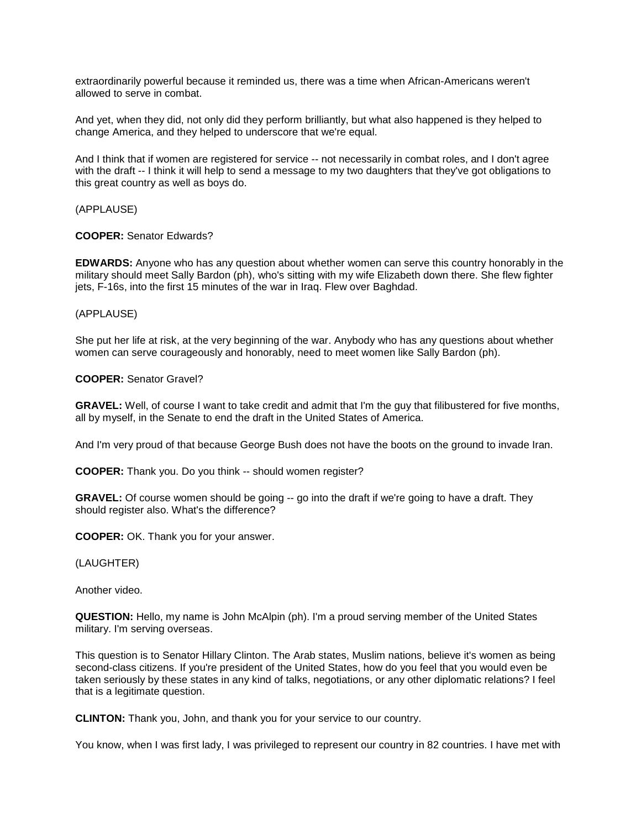extraordinarily powerful because it reminded us, there was a time when African-Americans weren't allowed to serve in combat.

And yet, when they did, not only did they perform brilliantly, but what also happened is they helped to change America, and they helped to underscore that we're equal.

And I think that if women are registered for service -- not necessarily in combat roles, and I don't agree with the draft -- I think it will help to send a message to my two daughters that they've got obligations to this great country as well as boys do.

(APPLAUSE)

**COOPER:** Senator Edwards?

**EDWARDS:** Anyone who has any question about whether women can serve this country honorably in the military should meet Sally Bardon (ph), who's sitting with my wife Elizabeth down there. She flew fighter jets, F-16s, into the first 15 minutes of the war in Iraq. Flew over Baghdad.

(APPLAUSE)

She put her life at risk, at the very beginning of the war. Anybody who has any questions about whether women can serve courageously and honorably, need to meet women like Sally Bardon (ph).

**COOPER:** Senator Gravel?

**GRAVEL:** Well, of course I want to take credit and admit that I'm the guy that filibustered for five months, all by myself, in the Senate to end the draft in the United States of America.

And I'm very proud of that because George Bush does not have the boots on the ground to invade Iran.

**COOPER:** Thank you. Do you think -- should women register?

**GRAVEL:** Of course women should be going -- go into the draft if we're going to have a draft. They should register also. What's the difference?

**COOPER:** OK. Thank you for your answer.

(LAUGHTER)

Another video.

**QUESTION:** Hello, my name is John McAlpin (ph). I'm a proud serving member of the United States military. I'm serving overseas.

This question is to Senator Hillary Clinton. The Arab states, Muslim nations, believe it's women as being second-class citizens. If you're president of the United States, how do you feel that you would even be taken seriously by these states in any kind of talks, negotiations, or any other diplomatic relations? I feel that is a legitimate question.

**CLINTON:** Thank you, John, and thank you for your service to our country.

You know, when I was first lady, I was privileged to represent our country in 82 countries. I have met with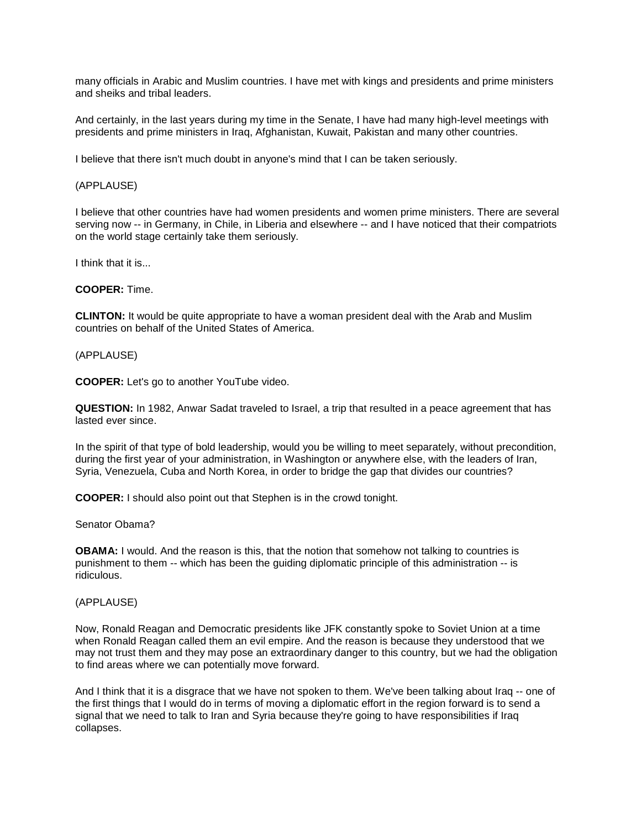many officials in Arabic and Muslim countries. I have met with kings and presidents and prime ministers and sheiks and tribal leaders.

And certainly, in the last years during my time in the Senate, I have had many high-level meetings with presidents and prime ministers in Iraq, Afghanistan, Kuwait, Pakistan and many other countries.

I believe that there isn't much doubt in anyone's mind that I can be taken seriously.

## (APPLAUSE)

I believe that other countries have had women presidents and women prime ministers. There are several serving now -- in Germany, in Chile, in Liberia and elsewhere -- and I have noticed that their compatriots on the world stage certainly take them seriously.

I think that it is...

**COOPER:** Time.

**CLINTON:** It would be quite appropriate to have a woman president deal with the Arab and Muslim countries on behalf of the United States of America.

(APPLAUSE)

**COOPER:** Let's go to another YouTube video.

**QUESTION:** In 1982, Anwar Sadat traveled to Israel, a trip that resulted in a peace agreement that has lasted ever since.

In the spirit of that type of bold leadership, would you be willing to meet separately, without precondition, during the first year of your administration, in Washington or anywhere else, with the leaders of Iran, Syria, Venezuela, Cuba and North Korea, in order to bridge the gap that divides our countries?

**COOPER:** I should also point out that Stephen is in the crowd tonight.

Senator Obama?

**OBAMA:** I would. And the reason is this, that the notion that somehow not talking to countries is punishment to them -- which has been the guiding diplomatic principle of this administration -- is ridiculous.

(APPLAUSE)

Now, Ronald Reagan and Democratic presidents like JFK constantly spoke to Soviet Union at a time when Ronald Reagan called them an evil empire. And the reason is because they understood that we may not trust them and they may pose an extraordinary danger to this country, but we had the obligation to find areas where we can potentially move forward.

And I think that it is a disgrace that we have not spoken to them. We've been talking about Iraq -- one of the first things that I would do in terms of moving a diplomatic effort in the region forward is to send a signal that we need to talk to Iran and Syria because they're going to have responsibilities if Iraq collapses.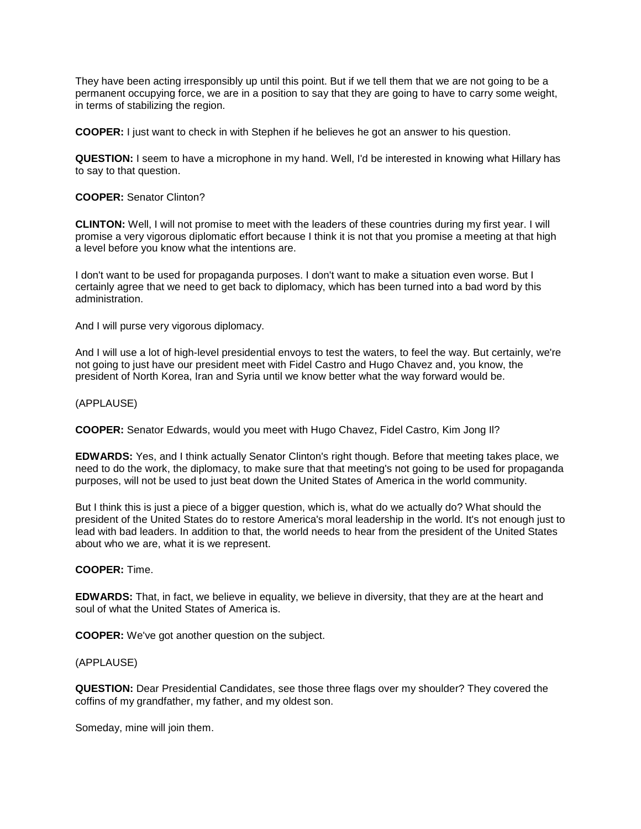They have been acting irresponsibly up until this point. But if we tell them that we are not going to be a permanent occupying force, we are in a position to say that they are going to have to carry some weight, in terms of stabilizing the region.

**COOPER:** I just want to check in with Stephen if he believes he got an answer to his question.

**QUESTION:** I seem to have a microphone in my hand. Well, I'd be interested in knowing what Hillary has to say to that question.

# **COOPER:** Senator Clinton?

**CLINTON:** Well, I will not promise to meet with the leaders of these countries during my first year. I will promise a very vigorous diplomatic effort because I think it is not that you promise a meeting at that high a level before you know what the intentions are.

I don't want to be used for propaganda purposes. I don't want to make a situation even worse. But I certainly agree that we need to get back to diplomacy, which has been turned into a bad word by this administration.

And I will purse very vigorous diplomacy.

And I will use a lot of high-level presidential envoys to test the waters, to feel the way. But certainly, we're not going to just have our president meet with Fidel Castro and Hugo Chavez and, you know, the president of North Korea, Iran and Syria until we know better what the way forward would be.

(APPLAUSE)

**COOPER:** Senator Edwards, would you meet with Hugo Chavez, Fidel Castro, Kim Jong Il?

**EDWARDS:** Yes, and I think actually Senator Clinton's right though. Before that meeting takes place, we need to do the work, the diplomacy, to make sure that that meeting's not going to be used for propaganda purposes, will not be used to just beat down the United States of America in the world community.

But I think this is just a piece of a bigger question, which is, what do we actually do? What should the president of the United States do to restore America's moral leadership in the world. It's not enough just to lead with bad leaders. In addition to that, the world needs to hear from the president of the United States about who we are, what it is we represent.

# **COOPER:** Time.

**EDWARDS:** That, in fact, we believe in equality, we believe in diversity, that they are at the heart and soul of what the United States of America is.

**COOPER:** We've got another question on the subject.

## (APPLAUSE)

**QUESTION:** Dear Presidential Candidates, see those three flags over my shoulder? They covered the coffins of my grandfather, my father, and my oldest son.

Someday, mine will join them.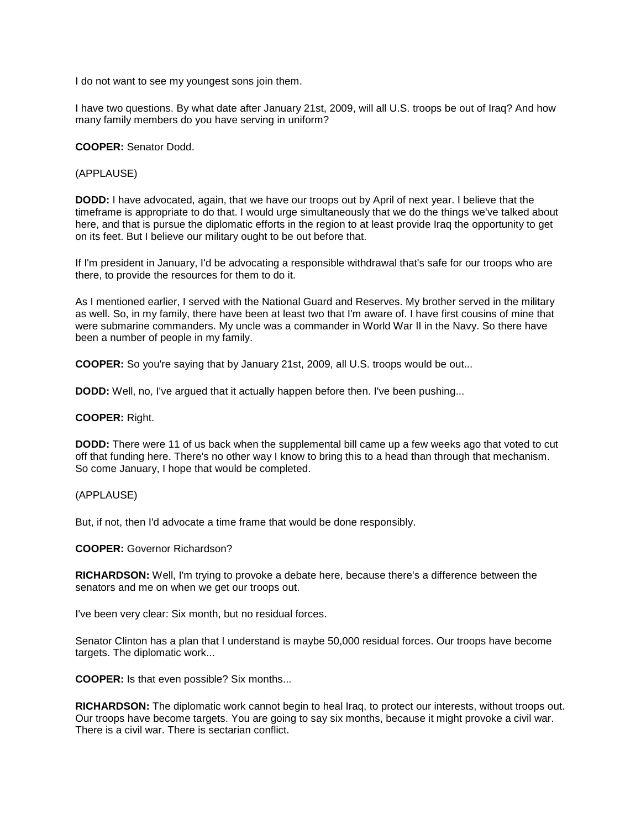I do not want to see my youngest sons join them.

I have two questions. By what date after January 21st, 2009, will all U.S. troops be out of Iraq? And how many family members do you have serving in uniform?

**COOPER:** Senator Dodd.

(APPLAUSE)

**DODD:** I have advocated, again, that we have our troops out by April of next year. I believe that the timeframe is appropriate to do that. I would urge simultaneously that we do the things we've talked about here, and that is pursue the diplomatic efforts in the region to at least provide Iraq the opportunity to get on its feet. But I believe our military ought to be out before that.

If I'm president in January, I'd be advocating a responsible withdrawal that's safe for our troops who are there, to provide the resources for them to do it.

As I mentioned earlier, I served with the National Guard and Reserves. My brother served in the military as well. So, in my family, there have been at least two that I'm aware of. I have first cousins of mine that were submarine commanders. My uncle was a commander in World War II in the Navy. So there have been a number of people in my family.

**COOPER:** So you're saying that by January 21st, 2009, all U.S. troops would be out...

**DODD:** Well, no, I've argued that it actually happen before then. I've been pushing...

**COOPER:** Right.

**DODD:** There were 11 of us back when the supplemental bill came up a few weeks ago that voted to cut off that funding here. There's no other way I know to bring this to a head than through that mechanism. So come January, I hope that would be completed.

# (APPLAUSE)

But, if not, then I'd advocate a time frame that would be done responsibly.

**COOPER:** Governor Richardson?

**RICHARDSON:** Well, I'm trying to provoke a debate here, because there's a difference between the senators and me on when we get our troops out.

I've been very clear: Six month, but no residual forces.

Senator Clinton has a plan that I understand is maybe 50,000 residual forces. Our troops have become targets. The diplomatic work...

**COOPER:** Is that even possible? Six months...

**RICHARDSON:** The diplomatic work cannot begin to heal Iraq, to protect our interests, without troops out. Our troops have become targets. You are going to say six months, because it might provoke a civil war. There is a civil war. There is sectarian conflict.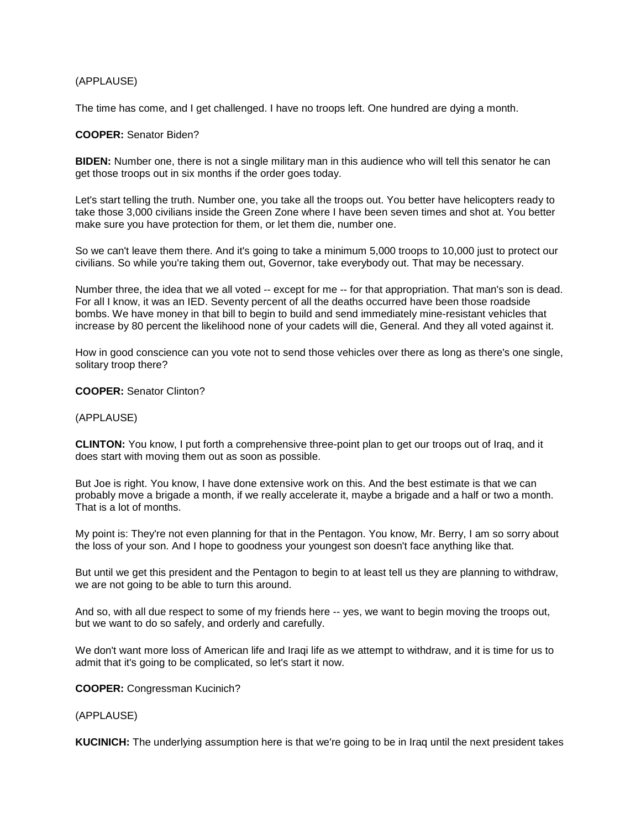# (APPLAUSE)

The time has come, and I get challenged. I have no troops left. One hundred are dying a month.

# **COOPER:** Senator Biden?

**BIDEN:** Number one, there is not a single military man in this audience who will tell this senator he can get those troops out in six months if the order goes today.

Let's start telling the truth. Number one, you take all the troops out. You better have helicopters ready to take those 3,000 civilians inside the Green Zone where I have been seven times and shot at. You better make sure you have protection for them, or let them die, number one.

So we can't leave them there. And it's going to take a minimum 5,000 troops to 10,000 just to protect our civilians. So while you're taking them out, Governor, take everybody out. That may be necessary.

Number three, the idea that we all voted -- except for me -- for that appropriation. That man's son is dead. For all I know, it was an IED. Seventy percent of all the deaths occurred have been those roadside bombs. We have money in that bill to begin to build and send immediately mine-resistant vehicles that increase by 80 percent the likelihood none of your cadets will die, General. And they all voted against it.

How in good conscience can you vote not to send those vehicles over there as long as there's one single, solitary troop there?

# **COOPER:** Senator Clinton?

## (APPLAUSE)

**CLINTON:** You know, I put forth a comprehensive three-point plan to get our troops out of Iraq, and it does start with moving them out as soon as possible.

But Joe is right. You know, I have done extensive work on this. And the best estimate is that we can probably move a brigade a month, if we really accelerate it, maybe a brigade and a half or two a month. That is a lot of months.

My point is: They're not even planning for that in the Pentagon. You know, Mr. Berry, I am so sorry about the loss of your son. And I hope to goodness your youngest son doesn't face anything like that.

But until we get this president and the Pentagon to begin to at least tell us they are planning to withdraw, we are not going to be able to turn this around.

And so, with all due respect to some of my friends here -- yes, we want to begin moving the troops out, but we want to do so safely, and orderly and carefully.

We don't want more loss of American life and Iraqi life as we attempt to withdraw, and it is time for us to admit that it's going to be complicated, so let's start it now.

**COOPER:** Congressman Kucinich?

## (APPLAUSE)

**KUCINICH:** The underlying assumption here is that we're going to be in Iraq until the next president takes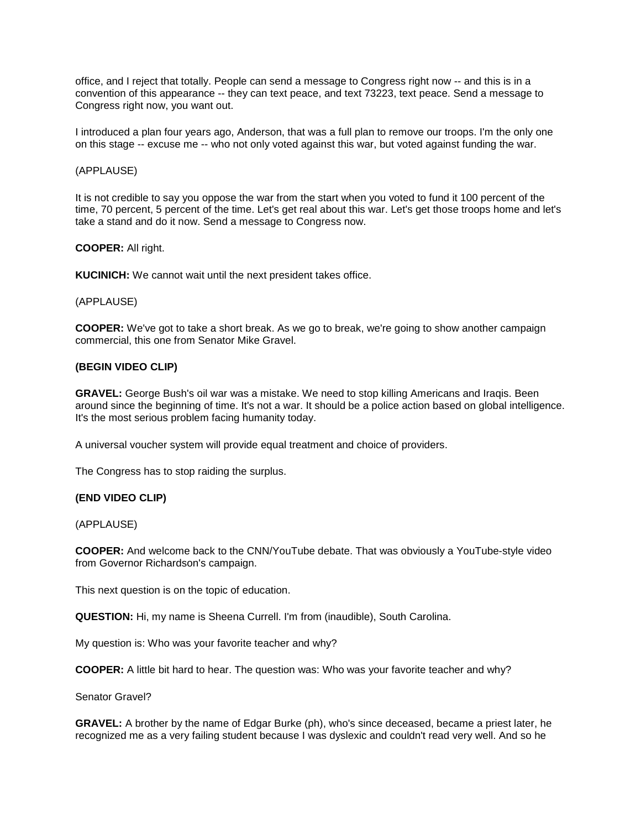office, and I reject that totally. People can send a message to Congress right now -- and this is in a convention of this appearance -- they can text peace, and text 73223, text peace. Send a message to Congress right now, you want out.

I introduced a plan four years ago, Anderson, that was a full plan to remove our troops. I'm the only one on this stage -- excuse me -- who not only voted against this war, but voted against funding the war.

## (APPLAUSE)

It is not credible to say you oppose the war from the start when you voted to fund it 100 percent of the time, 70 percent, 5 percent of the time. Let's get real about this war. Let's get those troops home and let's take a stand and do it now. Send a message to Congress now.

## **COOPER:** All right.

**KUCINICH:** We cannot wait until the next president takes office.

## (APPLAUSE)

**COOPER:** We've got to take a short break. As we go to break, we're going to show another campaign commercial, this one from Senator Mike Gravel.

# **(BEGIN VIDEO CLIP)**

**GRAVEL:** George Bush's oil war was a mistake. We need to stop killing Americans and Iraqis. Been around since the beginning of time. It's not a war. It should be a police action based on global intelligence. It's the most serious problem facing humanity today.

A universal voucher system will provide equal treatment and choice of providers.

The Congress has to stop raiding the surplus.

# **(END VIDEO CLIP)**

(APPLAUSE)

**COOPER:** And welcome back to the CNN/YouTube debate. That was obviously a YouTube-style video from Governor Richardson's campaign.

This next question is on the topic of education.

**QUESTION:** Hi, my name is Sheena Currell. I'm from (inaudible), South Carolina.

My question is: Who was your favorite teacher and why?

**COOPER:** A little bit hard to hear. The question was: Who was your favorite teacher and why?

Senator Gravel?

**GRAVEL:** A brother by the name of Edgar Burke (ph), who's since deceased, became a priest later, he recognized me as a very failing student because I was dyslexic and couldn't read very well. And so he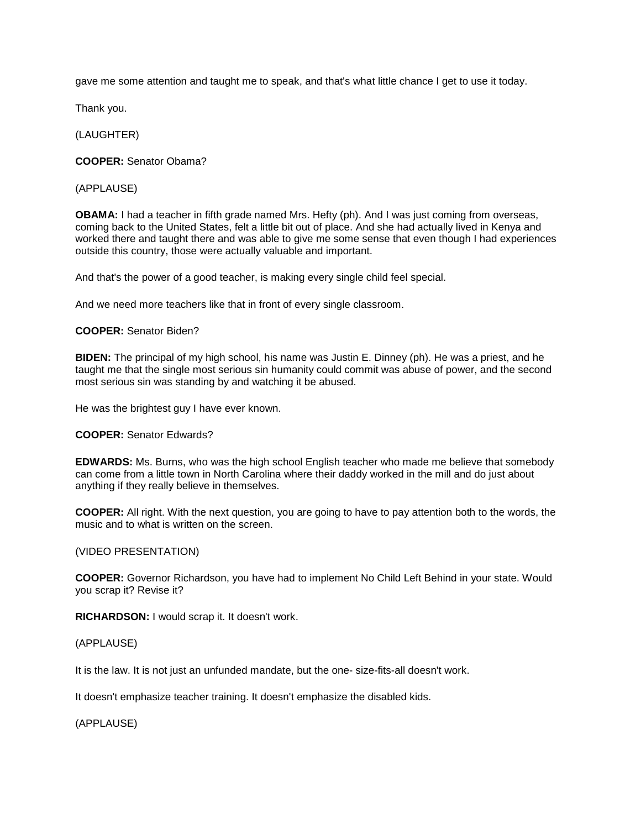gave me some attention and taught me to speak, and that's what little chance I get to use it today.

Thank you.

(LAUGHTER)

**COOPER:** Senator Obama?

(APPLAUSE)

**OBAMA:** I had a teacher in fifth grade named Mrs. Hefty (ph). And I was just coming from overseas, coming back to the United States, felt a little bit out of place. And she had actually lived in Kenya and worked there and taught there and was able to give me some sense that even though I had experiences outside this country, those were actually valuable and important.

And that's the power of a good teacher, is making every single child feel special.

And we need more teachers like that in front of every single classroom.

# **COOPER:** Senator Biden?

**BIDEN:** The principal of my high school, his name was Justin E. Dinney (ph). He was a priest, and he taught me that the single most serious sin humanity could commit was abuse of power, and the second most serious sin was standing by and watching it be abused.

He was the brightest guy I have ever known.

**COOPER:** Senator Edwards?

**EDWARDS:** Ms. Burns, who was the high school English teacher who made me believe that somebody can come from a little town in North Carolina where their daddy worked in the mill and do just about anything if they really believe in themselves.

**COOPER:** All right. With the next question, you are going to have to pay attention both to the words, the music and to what is written on the screen.

# (VIDEO PRESENTATION)

**COOPER:** Governor Richardson, you have had to implement No Child Left Behind in your state. Would you scrap it? Revise it?

**RICHARDSON:** I would scrap it. It doesn't work.

# (APPLAUSE)

It is the law. It is not just an unfunded mandate, but the one- size-fits-all doesn't work.

It doesn't emphasize teacher training. It doesn't emphasize the disabled kids.

(APPLAUSE)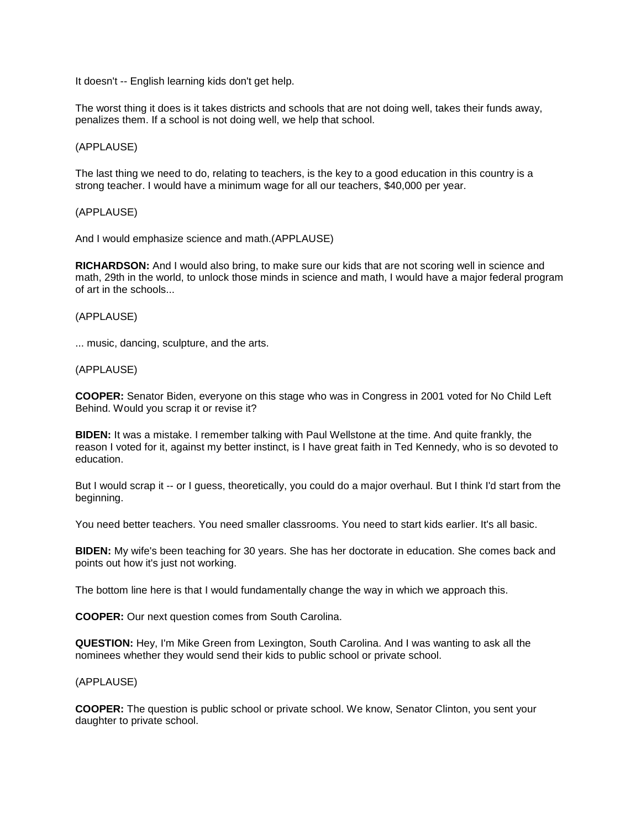It doesn't -- English learning kids don't get help.

The worst thing it does is it takes districts and schools that are not doing well, takes their funds away, penalizes them. If a school is not doing well, we help that school.

## (APPLAUSE)

The last thing we need to do, relating to teachers, is the key to a good education in this country is a strong teacher. I would have a minimum wage for all our teachers, \$40,000 per year.

## (APPLAUSE)

And I would emphasize science and math.(APPLAUSE)

**RICHARDSON:** And I would also bring, to make sure our kids that are not scoring well in science and math, 29th in the world, to unlock those minds in science and math, I would have a major federal program of art in the schools...

## (APPLAUSE)

... music, dancing, sculpture, and the arts.

## (APPLAUSE)

**COOPER:** Senator Biden, everyone on this stage who was in Congress in 2001 voted for No Child Left Behind. Would you scrap it or revise it?

**BIDEN:** It was a mistake. I remember talking with Paul Wellstone at the time. And quite frankly, the reason I voted for it, against my better instinct, is I have great faith in Ted Kennedy, who is so devoted to education.

But I would scrap it -- or I guess, theoretically, you could do a major overhaul. But I think I'd start from the beginning.

You need better teachers. You need smaller classrooms. You need to start kids earlier. It's all basic.

**BIDEN:** My wife's been teaching for 30 years. She has her doctorate in education. She comes back and points out how it's just not working.

The bottom line here is that I would fundamentally change the way in which we approach this.

**COOPER:** Our next question comes from South Carolina.

**QUESTION:** Hey, I'm Mike Green from Lexington, South Carolina. And I was wanting to ask all the nominees whether they would send their kids to public school or private school.

## (APPLAUSE)

**COOPER:** The question is public school or private school. We know, Senator Clinton, you sent your daughter to private school.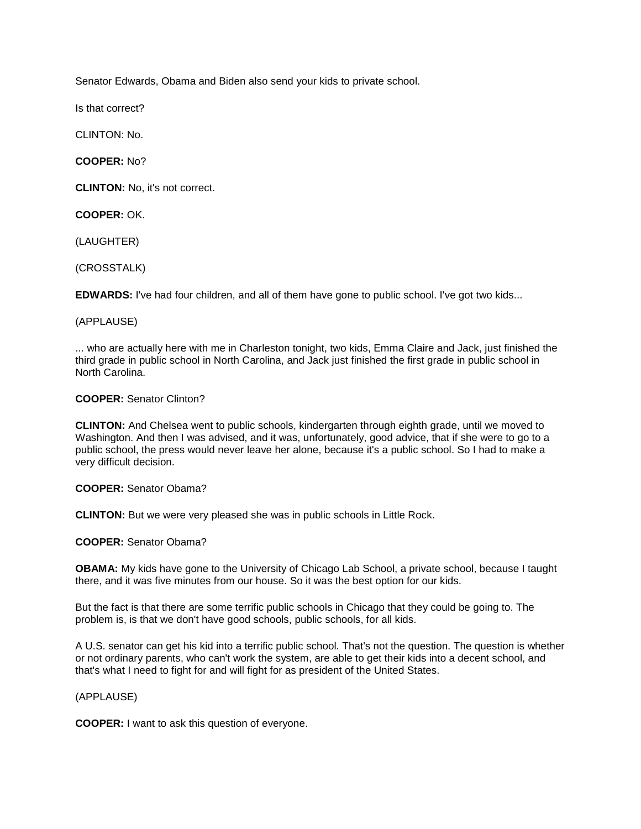Senator Edwards, Obama and Biden also send your kids to private school.

Is that correct?

CLINTON: No.

**COOPER:** No?

**CLINTON:** No, it's not correct.

**COOPER:** OK.

(LAUGHTER)

(CROSSTALK)

**EDWARDS:** I've had four children, and all of them have gone to public school. I've got two kids...

## (APPLAUSE)

... who are actually here with me in Charleston tonight, two kids, Emma Claire and Jack, just finished the third grade in public school in North Carolina, and Jack just finished the first grade in public school in North Carolina.

# **COOPER:** Senator Clinton?

**CLINTON:** And Chelsea went to public schools, kindergarten through eighth grade, until we moved to Washington. And then I was advised, and it was, unfortunately, good advice, that if she were to go to a public school, the press would never leave her alone, because it's a public school. So I had to make a very difficult decision.

**COOPER:** Senator Obama?

**CLINTON:** But we were very pleased she was in public schools in Little Rock.

**COOPER:** Senator Obama?

**OBAMA:** My kids have gone to the University of Chicago Lab School, a private school, because I taught there, and it was five minutes from our house. So it was the best option for our kids.

But the fact is that there are some terrific public schools in Chicago that they could be going to. The problem is, is that we don't have good schools, public schools, for all kids.

A U.S. senator can get his kid into a terrific public school. That's not the question. The question is whether or not ordinary parents, who can't work the system, are able to get their kids into a decent school, and that's what I need to fight for and will fight for as president of the United States.

(APPLAUSE)

**COOPER:** I want to ask this question of everyone.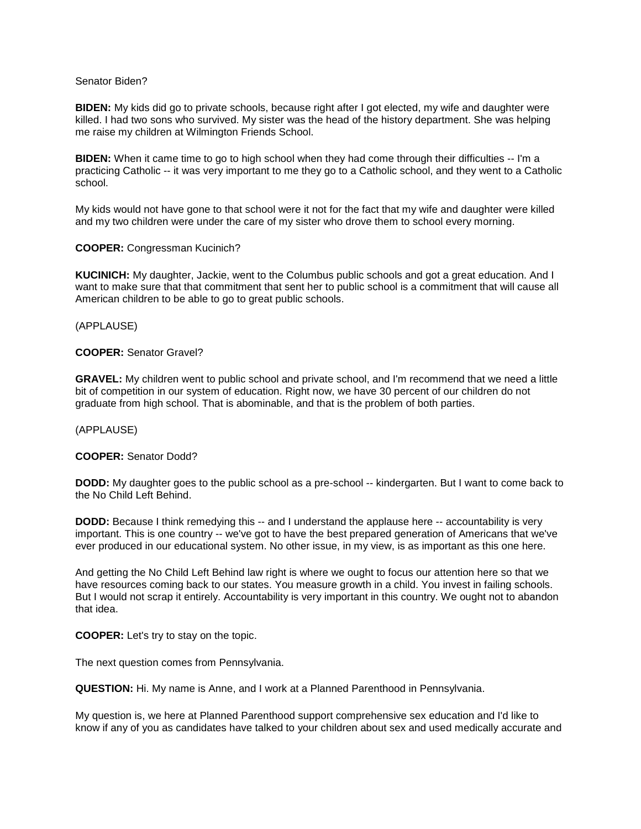# Senator Biden?

**BIDEN:** My kids did go to private schools, because right after I got elected, my wife and daughter were killed. I had two sons who survived. My sister was the head of the history department. She was helping me raise my children at Wilmington Friends School.

**BIDEN:** When it came time to go to high school when they had come through their difficulties -- I'm a practicing Catholic -- it was very important to me they go to a Catholic school, and they went to a Catholic school.

My kids would not have gone to that school were it not for the fact that my wife and daughter were killed and my two children were under the care of my sister who drove them to school every morning.

## **COOPER:** Congressman Kucinich?

**KUCINICH:** My daughter, Jackie, went to the Columbus public schools and got a great education. And I want to make sure that that commitment that sent her to public school is a commitment that will cause all American children to be able to go to great public schools.

## (APPLAUSE)

# **COOPER:** Senator Gravel?

**GRAVEL:** My children went to public school and private school, and I'm recommend that we need a little bit of competition in our system of education. Right now, we have 30 percent of our children do not graduate from high school. That is abominable, and that is the problem of both parties.

## (APPLAUSE)

# **COOPER:** Senator Dodd?

**DODD:** My daughter goes to the public school as a pre-school -- kindergarten. But I want to come back to the No Child Left Behind.

**DODD:** Because I think remedying this -- and I understand the applause here -- accountability is very important. This is one country -- we've got to have the best prepared generation of Americans that we've ever produced in our educational system. No other issue, in my view, is as important as this one here.

And getting the No Child Left Behind law right is where we ought to focus our attention here so that we have resources coming back to our states. You measure growth in a child. You invest in failing schools. But I would not scrap it entirely. Accountability is very important in this country. We ought not to abandon that idea.

**COOPER:** Let's try to stay on the topic.

The next question comes from Pennsylvania.

**QUESTION:** Hi. My name is Anne, and I work at a Planned Parenthood in Pennsylvania.

My question is, we here at Planned Parenthood support comprehensive sex education and I'd like to know if any of you as candidates have talked to your children about sex and used medically accurate and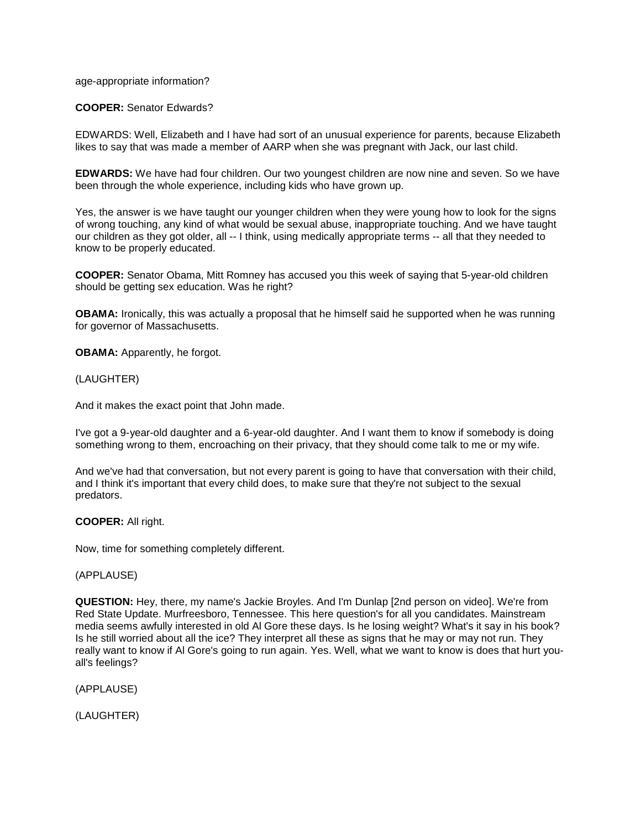age-appropriate information?

## **COOPER:** Senator Edwards?

EDWARDS: Well, Elizabeth and I have had sort of an unusual experience for parents, because Elizabeth likes to say that was made a member of AARP when she was pregnant with Jack, our last child.

**EDWARDS:** We have had four children. Our two youngest children are now nine and seven. So we have been through the whole experience, including kids who have grown up.

Yes, the answer is we have taught our younger children when they were young how to look for the signs of wrong touching, any kind of what would be sexual abuse, inappropriate touching. And we have taught our children as they got older, all -- I think, using medically appropriate terms -- all that they needed to know to be properly educated.

**COOPER:** Senator Obama, Mitt Romney has accused you this week of saying that 5-year-old children should be getting sex education. Was he right?

**OBAMA:** Ironically, this was actually a proposal that he himself said he supported when he was running for governor of Massachusetts.

**OBAMA:** Apparently, he forgot.

## (LAUGHTER)

And it makes the exact point that John made.

I've got a 9-year-old daughter and a 6-year-old daughter. And I want them to know if somebody is doing something wrong to them, encroaching on their privacy, that they should come talk to me or my wife.

And we've had that conversation, but not every parent is going to have that conversation with their child, and I think it's important that every child does, to make sure that they're not subject to the sexual predators.

## **COOPER:** All right.

Now, time for something completely different.

## (APPLAUSE)

**QUESTION:** Hey, there, my name's Jackie Broyles. And I'm Dunlap [2nd person on video]. We're from Red State Update. Murfreesboro, Tennessee. This here question's for all you candidates. Mainstream media seems awfully interested in old Al Gore these days. Is he losing weight? What's it say in his book? Is he still worried about all the ice? They interpret all these as signs that he may or may not run. They really want to know if Al Gore's going to run again. Yes. Well, what we want to know is does that hurt youall's feelings?

(APPLAUSE)

(LAUGHTER)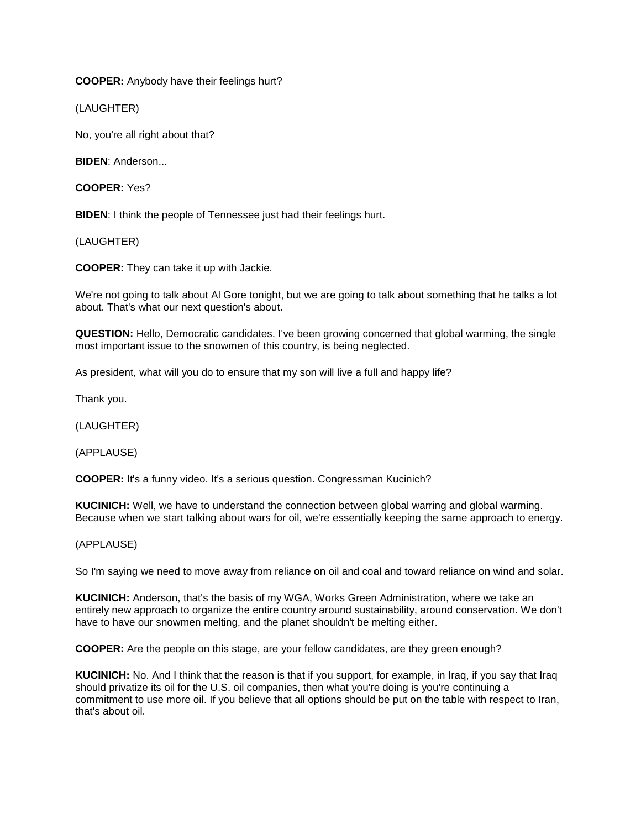**COOPER:** Anybody have their feelings hurt?

(LAUGHTER)

No, you're all right about that?

**BIDEN**: Anderson...

**COOPER:** Yes?

**BIDEN**: I think the people of Tennessee just had their feelings hurt.

(LAUGHTER)

**COOPER:** They can take it up with Jackie.

We're not going to talk about Al Gore tonight, but we are going to talk about something that he talks a lot about. That's what our next question's about.

**QUESTION:** Hello, Democratic candidates. I've been growing concerned that global warming, the single most important issue to the snowmen of this country, is being neglected.

As president, what will you do to ensure that my son will live a full and happy life?

Thank you.

(LAUGHTER)

(APPLAUSE)

**COOPER:** It's a funny video. It's a serious question. Congressman Kucinich?

**KUCINICH:** Well, we have to understand the connection between global warring and global warming. Because when we start talking about wars for oil, we're essentially keeping the same approach to energy.

(APPLAUSE)

So I'm saying we need to move away from reliance on oil and coal and toward reliance on wind and solar.

**KUCINICH:** Anderson, that's the basis of my WGA, Works Green Administration, where we take an entirely new approach to organize the entire country around sustainability, around conservation. We don't have to have our snowmen melting, and the planet shouldn't be melting either.

**COOPER:** Are the people on this stage, are your fellow candidates, are they green enough?

**KUCINICH:** No. And I think that the reason is that if you support, for example, in Iraq, if you say that Iraq should privatize its oil for the U.S. oil companies, then what you're doing is you're continuing a commitment to use more oil. If you believe that all options should be put on the table with respect to Iran, that's about oil.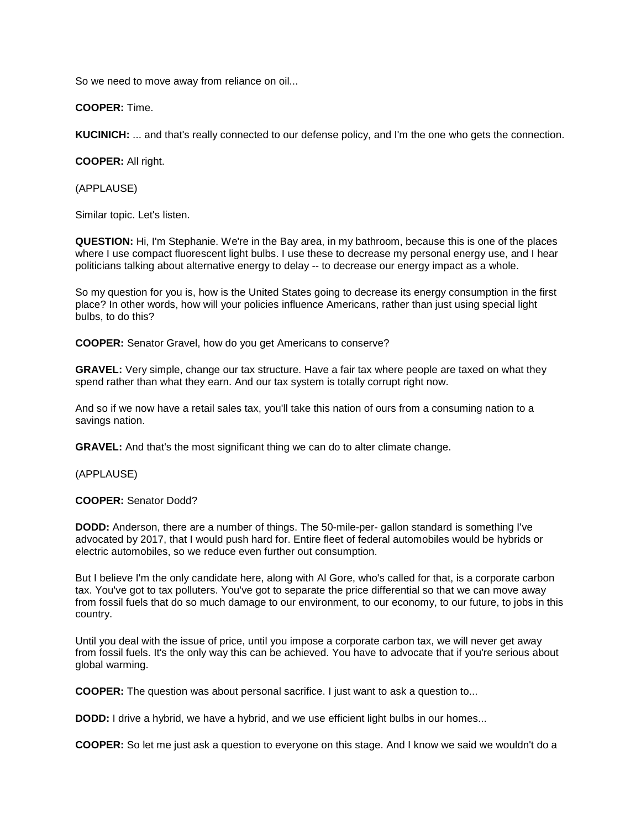So we need to move away from reliance on oil...

**COOPER:** Time.

**KUCINICH:** ... and that's really connected to our defense policy, and I'm the one who gets the connection.

**COOPER:** All right.

(APPLAUSE)

Similar topic. Let's listen.

**QUESTION:** Hi, I'm Stephanie. We're in the Bay area, in my bathroom, because this is one of the places where I use compact fluorescent light bulbs. I use these to decrease my personal energy use, and I hear politicians talking about alternative energy to delay -- to decrease our energy impact as a whole.

So my question for you is, how is the United States going to decrease its energy consumption in the first place? In other words, how will your policies influence Americans, rather than just using special light bulbs, to do this?

**COOPER:** Senator Gravel, how do you get Americans to conserve?

**GRAVEL:** Very simple, change our tax structure. Have a fair tax where people are taxed on what they spend rather than what they earn. And our tax system is totally corrupt right now.

And so if we now have a retail sales tax, you'll take this nation of ours from a consuming nation to a savings nation.

**GRAVEL:** And that's the most significant thing we can do to alter climate change.

(APPLAUSE)

**COOPER:** Senator Dodd?

**DODD:** Anderson, there are a number of things. The 50-mile-per- gallon standard is something I've advocated by 2017, that I would push hard for. Entire fleet of federal automobiles would be hybrids or electric automobiles, so we reduce even further out consumption.

But I believe I'm the only candidate here, along with Al Gore, who's called for that, is a corporate carbon tax. You've got to tax polluters. You've got to separate the price differential so that we can move away from fossil fuels that do so much damage to our environment, to our economy, to our future, to jobs in this country.

Until you deal with the issue of price, until you impose a corporate carbon tax, we will never get away from fossil fuels. It's the only way this can be achieved. You have to advocate that if you're serious about global warming.

**COOPER:** The question was about personal sacrifice. I just want to ask a question to...

**DODD:** I drive a hybrid, we have a hybrid, and we use efficient light bulbs in our homes...

**COOPER:** So let me just ask a question to everyone on this stage. And I know we said we wouldn't do a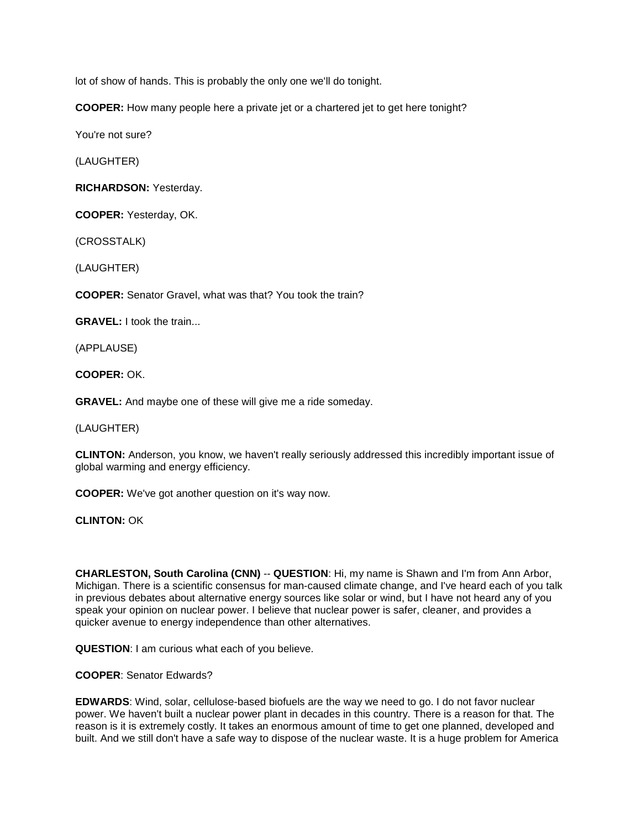lot of show of hands. This is probably the only one we'll do tonight.

**COOPER:** How many people here a private jet or a chartered jet to get here tonight?

You're not sure?

(LAUGHTER)

**RICHARDSON:** Yesterday.

**COOPER:** Yesterday, OK.

(CROSSTALK)

(LAUGHTER)

**COOPER:** Senator Gravel, what was that? You took the train?

**GRAVEL:** I took the train...

(APPLAUSE)

**COOPER:** OK.

**GRAVEL:** And maybe one of these will give me a ride someday.

(LAUGHTER)

**CLINTON:** Anderson, you know, we haven't really seriously addressed this incredibly important issue of global warming and energy efficiency.

**COOPER:** We've got another question on it's way now.

**CLINTON:** OK

**CHARLESTON, South Carolina (CNN)** -- **QUESTION**: Hi, my name is Shawn and I'm from Ann Arbor, Michigan. There is a scientific consensus for man-caused climate change, and I've heard each of you talk in previous debates about alternative energy sources like solar or wind, but I have not heard any of you speak your opinion on nuclear power. I believe that nuclear power is safer, cleaner, and provides a quicker avenue to energy independence than other alternatives.

**QUESTION**: I am curious what each of you believe.

**COOPER**: Senator Edwards?

**EDWARDS**: Wind, solar, cellulose-based biofuels are the way we need to go. I do not favor nuclear power. We haven't built a nuclear power plant in decades in this country. There is a reason for that. The reason is it is extremely costly. It takes an enormous amount of time to get one planned, developed and built. And we still don't have a safe way to dispose of the nuclear waste. It is a huge problem for America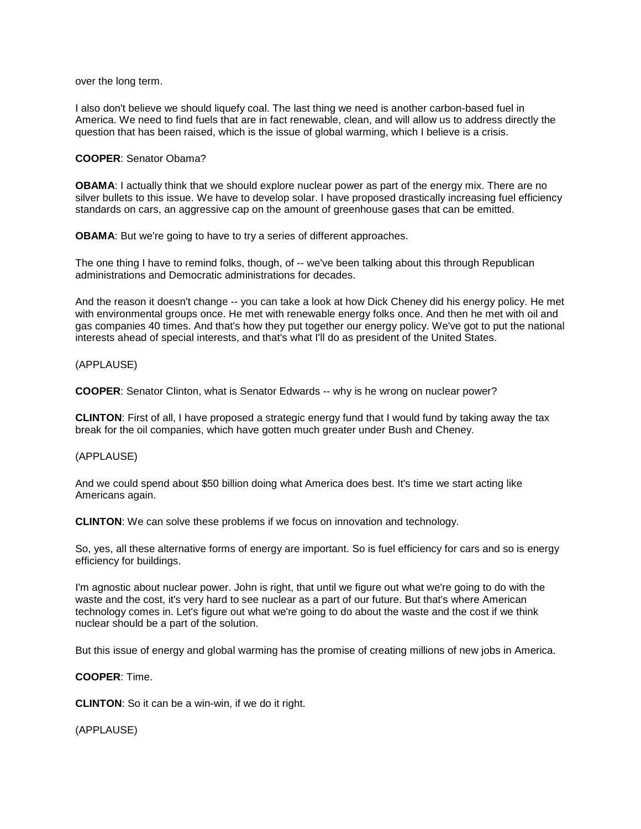over the long term.

I also don't believe we should liquefy coal. The last thing we need is another carbon-based fuel in America. We need to find fuels that are in fact renewable, clean, and will allow us to address directly the question that has been raised, which is the issue of global warming, which I believe is a crisis.

# **COOPER**: Senator Obama?

**OBAMA**: I actually think that we should explore nuclear power as part of the energy mix. There are no silver bullets to this issue. We have to develop solar. I have proposed drastically increasing fuel efficiency standards on cars, an aggressive cap on the amount of greenhouse gases that can be emitted.

**OBAMA**: But we're going to have to try a series of different approaches.

The one thing I have to remind folks, though, of -- we've been talking about this through Republican administrations and Democratic administrations for decades.

And the reason it doesn't change -- you can take a look at how Dick Cheney did his energy policy. He met with environmental groups once. He met with renewable energy folks once. And then he met with oil and gas companies 40 times. And that's how they put together our energy policy. We've got to put the national interests ahead of special interests, and that's what I'll do as president of the United States.

(APPLAUSE)

**COOPER**: Senator Clinton, what is Senator Edwards -- why is he wrong on nuclear power?

**CLINTON**: First of all, I have proposed a strategic energy fund that I would fund by taking away the tax break for the oil companies, which have gotten much greater under Bush and Cheney.

(APPLAUSE)

And we could spend about \$50 billion doing what America does best. It's time we start acting like Americans again.

**CLINTON**: We can solve these problems if we focus on innovation and technology.

So, yes, all these alternative forms of energy are important. So is fuel efficiency for cars and so is energy efficiency for buildings.

I'm agnostic about nuclear power. John is right, that until we figure out what we're going to do with the waste and the cost, it's very hard to see nuclear as a part of our future. But that's where American technology comes in. Let's figure out what we're going to do about the waste and the cost if we think nuclear should be a part of the solution.

But this issue of energy and global warming has the promise of creating millions of new jobs in America.

**COOPER**: Time.

**CLINTON**: So it can be a win-win, if we do it right.

(APPLAUSE)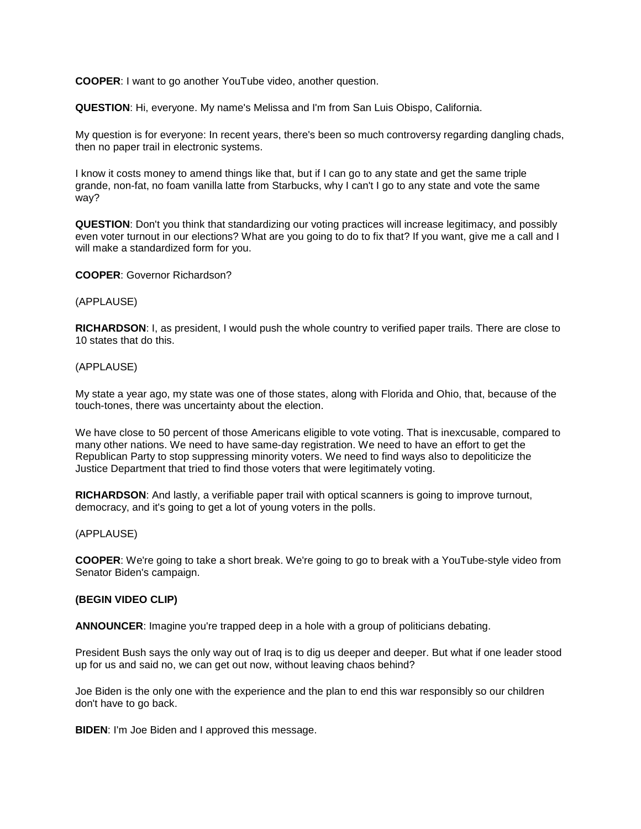**COOPER**: I want to go another YouTube video, another question.

**QUESTION**: Hi, everyone. My name's Melissa and I'm from San Luis Obispo, California.

My question is for everyone: In recent years, there's been so much controversy regarding dangling chads, then no paper trail in electronic systems.

I know it costs money to amend things like that, but if I can go to any state and get the same triple grande, non-fat, no foam vanilla latte from Starbucks, why I can't I go to any state and vote the same way?

**QUESTION**: Don't you think that standardizing our voting practices will increase legitimacy, and possibly even voter turnout in our elections? What are you going to do to fix that? If you want, give me a call and I will make a standardized form for you.

**COOPER**: Governor Richardson?

## (APPLAUSE)

**RICHARDSON**: I, as president, I would push the whole country to verified paper trails. There are close to 10 states that do this.

## (APPLAUSE)

My state a year ago, my state was one of those states, along with Florida and Ohio, that, because of the touch-tones, there was uncertainty about the election.

We have close to 50 percent of those Americans eligible to vote voting. That is inexcusable, compared to many other nations. We need to have same-day registration. We need to have an effort to get the Republican Party to stop suppressing minority voters. We need to find ways also to depoliticize the Justice Department that tried to find those voters that were legitimately voting.

**RICHARDSON**: And lastly, a verifiable paper trail with optical scanners is going to improve turnout, democracy, and it's going to get a lot of young voters in the polls.

## (APPLAUSE)

**COOPER**: We're going to take a short break. We're going to go to break with a YouTube-style video from Senator Biden's campaign.

# **(BEGIN VIDEO CLIP)**

**ANNOUNCER**: Imagine you're trapped deep in a hole with a group of politicians debating.

President Bush says the only way out of Iraq is to dig us deeper and deeper. But what if one leader stood up for us and said no, we can get out now, without leaving chaos behind?

Joe Biden is the only one with the experience and the plan to end this war responsibly so our children don't have to go back.

**BIDEN**: I'm Joe Biden and I approved this message.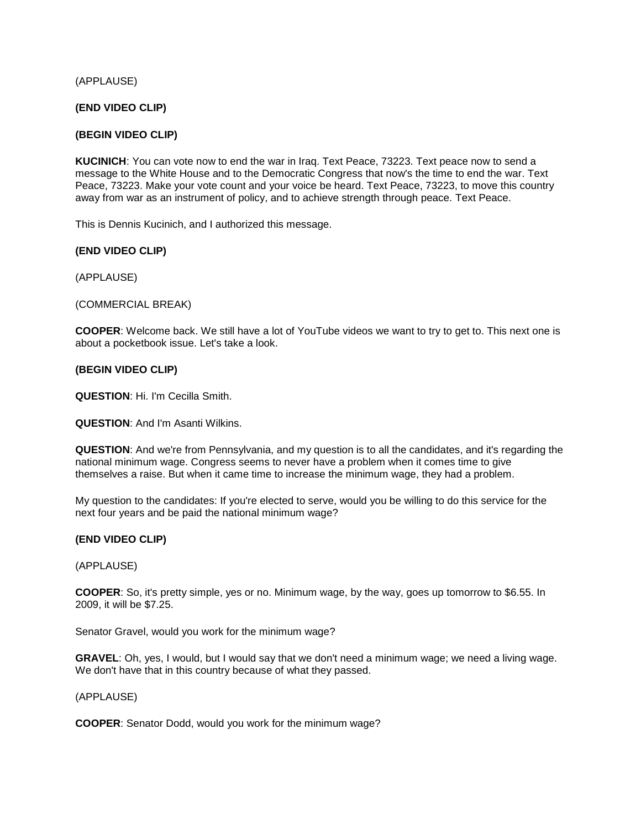# (APPLAUSE)

# **(END VIDEO CLIP)**

# **(BEGIN VIDEO CLIP)**

**KUCINICH**: You can vote now to end the war in Iraq. Text Peace, 73223. Text peace now to send a message to the White House and to the Democratic Congress that now's the time to end the war. Text Peace, 73223. Make your vote count and your voice be heard. Text Peace, 73223, to move this country away from war as an instrument of policy, and to achieve strength through peace. Text Peace.

This is Dennis Kucinich, and I authorized this message.

# **(END VIDEO CLIP)**

(APPLAUSE)

(COMMERCIAL BREAK)

**COOPER**: Welcome back. We still have a lot of YouTube videos we want to try to get to. This next one is about a pocketbook issue. Let's take a look.

# **(BEGIN VIDEO CLIP)**

**QUESTION**: Hi. I'm Cecilla Smith.

**QUESTION**: And I'm Asanti Wilkins.

**QUESTION**: And we're from Pennsylvania, and my question is to all the candidates, and it's regarding the national minimum wage. Congress seems to never have a problem when it comes time to give themselves a raise. But when it came time to increase the minimum wage, they had a problem.

My question to the candidates: If you're elected to serve, would you be willing to do this service for the next four years and be paid the national minimum wage?

# **(END VIDEO CLIP)**

## (APPLAUSE)

**COOPER**: So, it's pretty simple, yes or no. Minimum wage, by the way, goes up tomorrow to \$6.55. In 2009, it will be \$7.25.

Senator Gravel, would you work for the minimum wage?

**GRAVEL**: Oh, yes, I would, but I would say that we don't need a minimum wage; we need a living wage. We don't have that in this country because of what they passed.

## (APPLAUSE)

**COOPER**: Senator Dodd, would you work for the minimum wage?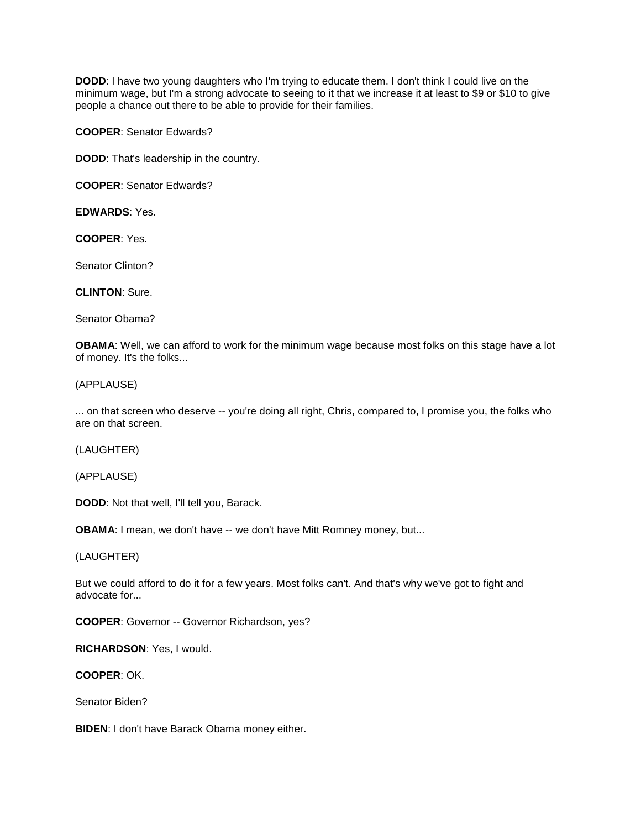**DODD**: I have two young daughters who I'm trying to educate them. I don't think I could live on the minimum wage, but I'm a strong advocate to seeing to it that we increase it at least to \$9 or \$10 to give people a chance out there to be able to provide for their families.

**COOPER**: Senator Edwards?

**DODD**: That's leadership in the country.

**COOPER**: Senator Edwards?

**EDWARDS**: Yes.

**COOPER**: Yes.

Senator Clinton?

**CLINTON**: Sure.

Senator Obama?

**OBAMA**: Well, we can afford to work for the minimum wage because most folks on this stage have a lot of money. It's the folks...

(APPLAUSE)

... on that screen who deserve -- you're doing all right, Chris, compared to, I promise you, the folks who are on that screen.

(LAUGHTER)

(APPLAUSE)

**DODD**: Not that well, I'll tell you, Barack.

**OBAMA:** I mean, we don't have -- we don't have Mitt Romney money, but...

(LAUGHTER)

But we could afford to do it for a few years. Most folks can't. And that's why we've got to fight and advocate for...

**COOPER**: Governor -- Governor Richardson, yes?

**RICHARDSON**: Yes, I would.

**COOPER**: OK.

Senator Biden?

**BIDEN**: I don't have Barack Obama money either.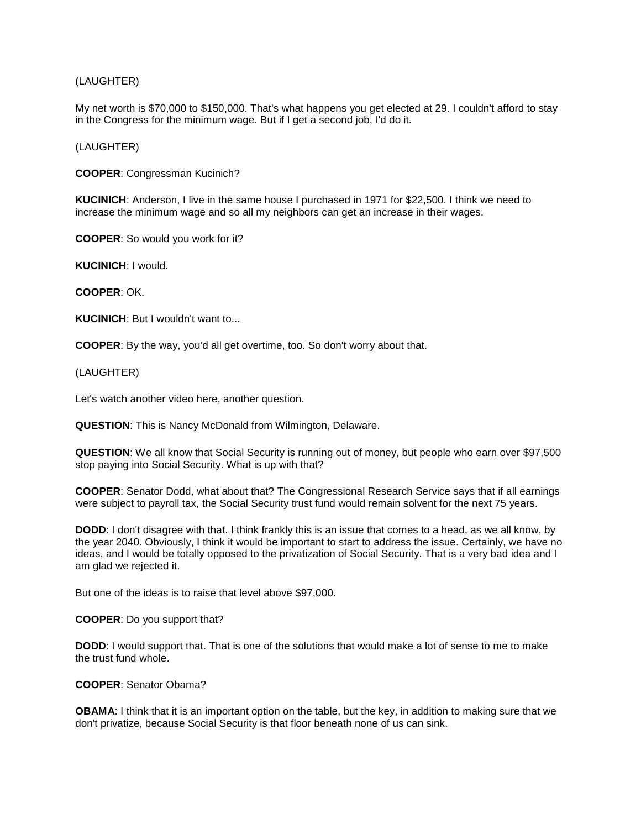# (LAUGHTER)

My net worth is \$70,000 to \$150,000. That's what happens you get elected at 29. I couldn't afford to stay in the Congress for the minimum wage. But if I get a second job, I'd do it.

(LAUGHTER)

**COOPER**: Congressman Kucinich?

**KUCINICH**: Anderson, I live in the same house I purchased in 1971 for \$22,500. I think we need to increase the minimum wage and so all my neighbors can get an increase in their wages.

**COOPER**: So would you work for it?

**KUCINICH**: I would.

**COOPER**: OK.

**KUCINICH**: But I wouldn't want to...

**COOPER**: By the way, you'd all get overtime, too. So don't worry about that.

(LAUGHTER)

Let's watch another video here, another question.

**QUESTION**: This is Nancy McDonald from Wilmington, Delaware.

**QUESTION**: We all know that Social Security is running out of money, but people who earn over \$97,500 stop paying into Social Security. What is up with that?

**COOPER**: Senator Dodd, what about that? The Congressional Research Service says that if all earnings were subject to payroll tax, the Social Security trust fund would remain solvent for the next 75 years.

**DODD**: I don't disagree with that. I think frankly this is an issue that comes to a head, as we all know, by the year 2040. Obviously, I think it would be important to start to address the issue. Certainly, we have no ideas, and I would be totally opposed to the privatization of Social Security. That is a very bad idea and I am glad we rejected it.

But one of the ideas is to raise that level above \$97,000.

**COOPER**: Do you support that?

**DODD**: I would support that. That is one of the solutions that would make a lot of sense to me to make the trust fund whole.

**COOPER**: Senator Obama?

**OBAMA**: I think that it is an important option on the table, but the key, in addition to making sure that we don't privatize, because Social Security is that floor beneath none of us can sink.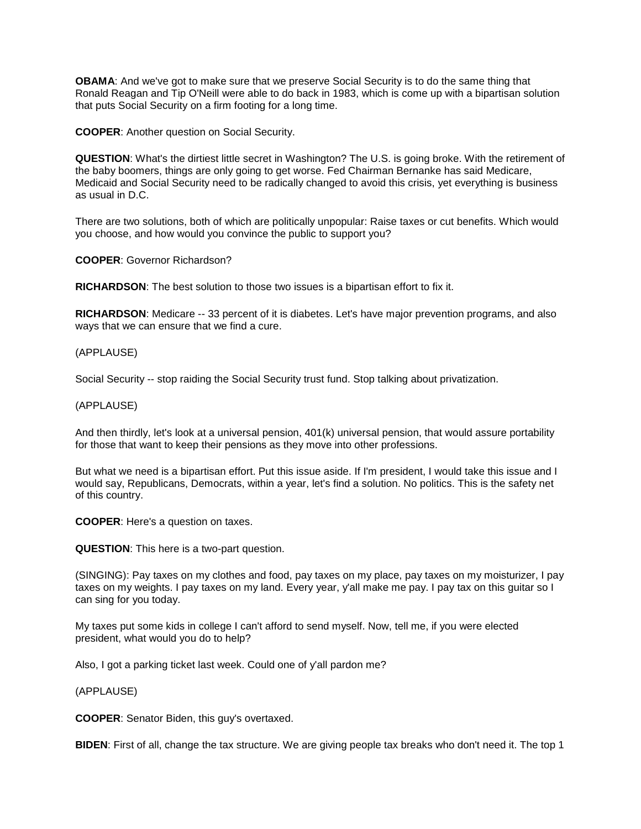**OBAMA**: And we've got to make sure that we preserve Social Security is to do the same thing that Ronald Reagan and Tip O'Neill were able to do back in 1983, which is come up with a bipartisan solution that puts Social Security on a firm footing for a long time.

**COOPER**: Another question on Social Security.

**QUESTION**: What's the dirtiest little secret in Washington? The U.S. is going broke. With the retirement of the baby boomers, things are only going to get worse. Fed Chairman Bernanke has said Medicare, Medicaid and Social Security need to be radically changed to avoid this crisis, yet everything is business as usual in D.C.

There are two solutions, both of which are politically unpopular: Raise taxes or cut benefits. Which would you choose, and how would you convince the public to support you?

**COOPER**: Governor Richardson?

**RICHARDSON**: The best solution to those two issues is a bipartisan effort to fix it.

**RICHARDSON**: Medicare -- 33 percent of it is diabetes. Let's have major prevention programs, and also ways that we can ensure that we find a cure.

## (APPLAUSE)

Social Security -- stop raiding the Social Security trust fund. Stop talking about privatization.

## (APPLAUSE)

And then thirdly, let's look at a universal pension, 401(k) universal pension, that would assure portability for those that want to keep their pensions as they move into other professions.

But what we need is a bipartisan effort. Put this issue aside. If I'm president, I would take this issue and I would say, Republicans, Democrats, within a year, let's find a solution. No politics. This is the safety net of this country.

**COOPER**: Here's a question on taxes.

**QUESTION**: This here is a two-part question.

(SINGING): Pay taxes on my clothes and food, pay taxes on my place, pay taxes on my moisturizer, I pay taxes on my weights. I pay taxes on my land. Every year, y'all make me pay. I pay tax on this guitar so I can sing for you today.

My taxes put some kids in college I can't afford to send myself. Now, tell me, if you were elected president, what would you do to help?

Also, I got a parking ticket last week. Could one of y'all pardon me?

(APPLAUSE)

**COOPER**: Senator Biden, this guy's overtaxed.

**BIDEN**: First of all, change the tax structure. We are giving people tax breaks who don't need it. The top 1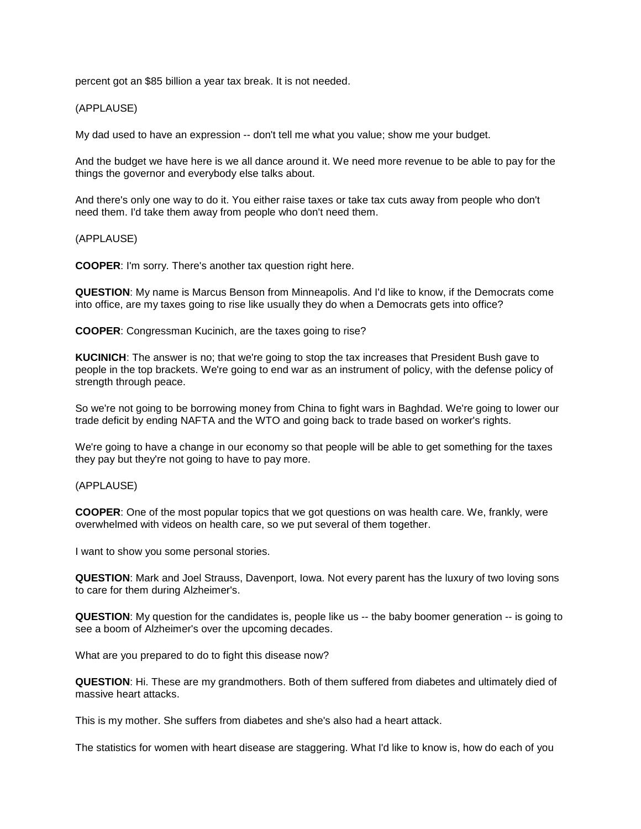percent got an \$85 billion a year tax break. It is not needed.

## (APPLAUSE)

My dad used to have an expression -- don't tell me what you value; show me your budget.

And the budget we have here is we all dance around it. We need more revenue to be able to pay for the things the governor and everybody else talks about.

And there's only one way to do it. You either raise taxes or take tax cuts away from people who don't need them. I'd take them away from people who don't need them.

## (APPLAUSE)

**COOPER**: I'm sorry. There's another tax question right here.

**QUESTION**: My name is Marcus Benson from Minneapolis. And I'd like to know, if the Democrats come into office, are my taxes going to rise like usually they do when a Democrats gets into office?

**COOPER**: Congressman Kucinich, are the taxes going to rise?

**KUCINICH**: The answer is no; that we're going to stop the tax increases that President Bush gave to people in the top brackets. We're going to end war as an instrument of policy, with the defense policy of strength through peace.

So we're not going to be borrowing money from China to fight wars in Baghdad. We're going to lower our trade deficit by ending NAFTA and the WTO and going back to trade based on worker's rights.

We're going to have a change in our economy so that people will be able to get something for the taxes they pay but they're not going to have to pay more.

## (APPLAUSE)

**COOPER**: One of the most popular topics that we got questions on was health care. We, frankly, were overwhelmed with videos on health care, so we put several of them together.

I want to show you some personal stories.

**QUESTION**: Mark and Joel Strauss, Davenport, Iowa. Not every parent has the luxury of two loving sons to care for them during Alzheimer's.

**QUESTION**: My question for the candidates is, people like us -- the baby boomer generation -- is going to see a boom of Alzheimer's over the upcoming decades.

What are you prepared to do to fight this disease now?

**QUESTION**: Hi. These are my grandmothers. Both of them suffered from diabetes and ultimately died of massive heart attacks.

This is my mother. She suffers from diabetes and she's also had a heart attack.

The statistics for women with heart disease are staggering. What I'd like to know is, how do each of you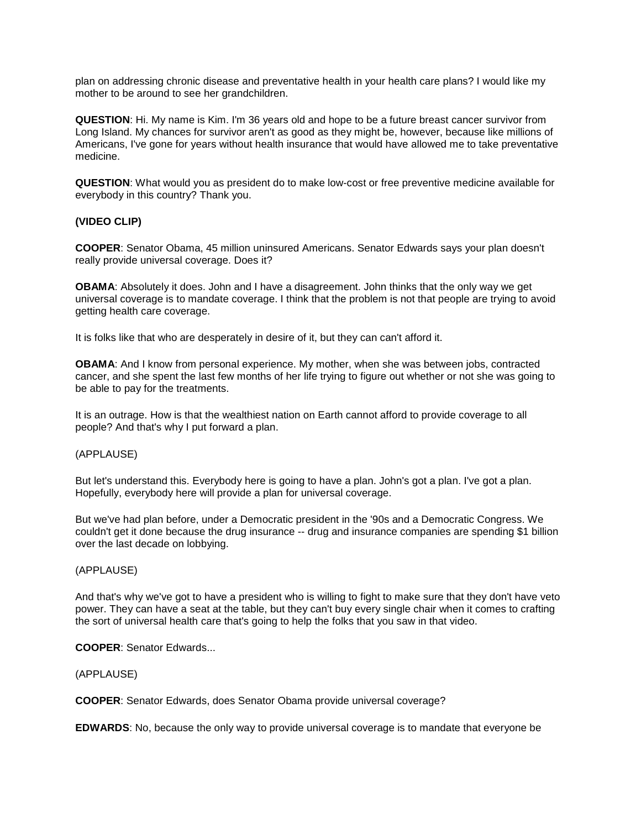plan on addressing chronic disease and preventative health in your health care plans? I would like my mother to be around to see her grandchildren.

**QUESTION**: Hi. My name is Kim. I'm 36 years old and hope to be a future breast cancer survivor from Long Island. My chances for survivor aren't as good as they might be, however, because like millions of Americans, I've gone for years without health insurance that would have allowed me to take preventative medicine.

**QUESTION**: What would you as president do to make low-cost or free preventive medicine available for everybody in this country? Thank you.

# **(VIDEO CLIP)**

**COOPER**: Senator Obama, 45 million uninsured Americans. Senator Edwards says your plan doesn't really provide universal coverage. Does it?

**OBAMA**: Absolutely it does. John and I have a disagreement. John thinks that the only way we get universal coverage is to mandate coverage. I think that the problem is not that people are trying to avoid getting health care coverage.

It is folks like that who are desperately in desire of it, but they can can't afford it.

**OBAMA**: And I know from personal experience. My mother, when she was between jobs, contracted cancer, and she spent the last few months of her life trying to figure out whether or not she was going to be able to pay for the treatments.

It is an outrage. How is that the wealthiest nation on Earth cannot afford to provide coverage to all people? And that's why I put forward a plan.

# (APPLAUSE)

But let's understand this. Everybody here is going to have a plan. John's got a plan. I've got a plan. Hopefully, everybody here will provide a plan for universal coverage.

But we've had plan before, under a Democratic president in the '90s and a Democratic Congress. We couldn't get it done because the drug insurance -- drug and insurance companies are spending \$1 billion over the last decade on lobbying.

# (APPLAUSE)

And that's why we've got to have a president who is willing to fight to make sure that they don't have veto power. They can have a seat at the table, but they can't buy every single chair when it comes to crafting the sort of universal health care that's going to help the folks that you saw in that video.

# **COOPER**: Senator Edwards...

# (APPLAUSE)

**COOPER**: Senator Edwards, does Senator Obama provide universal coverage?

**EDWARDS**: No, because the only way to provide universal coverage is to mandate that everyone be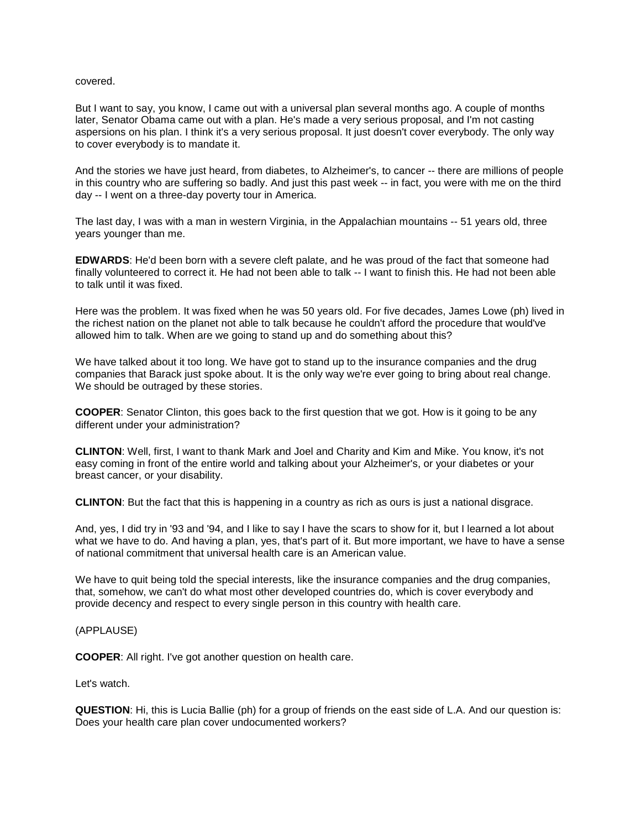covered.

But I want to say, you know, I came out with a universal plan several months ago. A couple of months later, Senator Obama came out with a plan. He's made a very serious proposal, and I'm not casting aspersions on his plan. I think it's a very serious proposal. It just doesn't cover everybody. The only way to cover everybody is to mandate it.

And the stories we have just heard, from diabetes, to Alzheimer's, to cancer -- there are millions of people in this country who are suffering so badly. And just this past week -- in fact, you were with me on the third day -- I went on a three-day poverty tour in America.

The last day, I was with a man in western Virginia, in the Appalachian mountains -- 51 years old, three years younger than me.

**EDWARDS**: He'd been born with a severe cleft palate, and he was proud of the fact that someone had finally volunteered to correct it. He had not been able to talk -- I want to finish this. He had not been able to talk until it was fixed.

Here was the problem. It was fixed when he was 50 years old. For five decades, James Lowe (ph) lived in the richest nation on the planet not able to talk because he couldn't afford the procedure that would've allowed him to talk. When are we going to stand up and do something about this?

We have talked about it too long. We have got to stand up to the insurance companies and the drug companies that Barack just spoke about. It is the only way we're ever going to bring about real change. We should be outraged by these stories.

**COOPER**: Senator Clinton, this goes back to the first question that we got. How is it going to be any different under your administration?

**CLINTON**: Well, first, I want to thank Mark and Joel and Charity and Kim and Mike. You know, it's not easy coming in front of the entire world and talking about your Alzheimer's, or your diabetes or your breast cancer, or your disability.

**CLINTON**: But the fact that this is happening in a country as rich as ours is just a national disgrace.

And, yes, I did try in '93 and '94, and I like to say I have the scars to show for it, but I learned a lot about what we have to do. And having a plan, yes, that's part of it. But more important, we have to have a sense of national commitment that universal health care is an American value.

We have to quit being told the special interests, like the insurance companies and the drug companies, that, somehow, we can't do what most other developed countries do, which is cover everybody and provide decency and respect to every single person in this country with health care.

(APPLAUSE)

**COOPER**: All right. I've got another question on health care.

Let's watch.

**QUESTION**: Hi, this is Lucia Ballie (ph) for a group of friends on the east side of L.A. And our question is: Does your health care plan cover undocumented workers?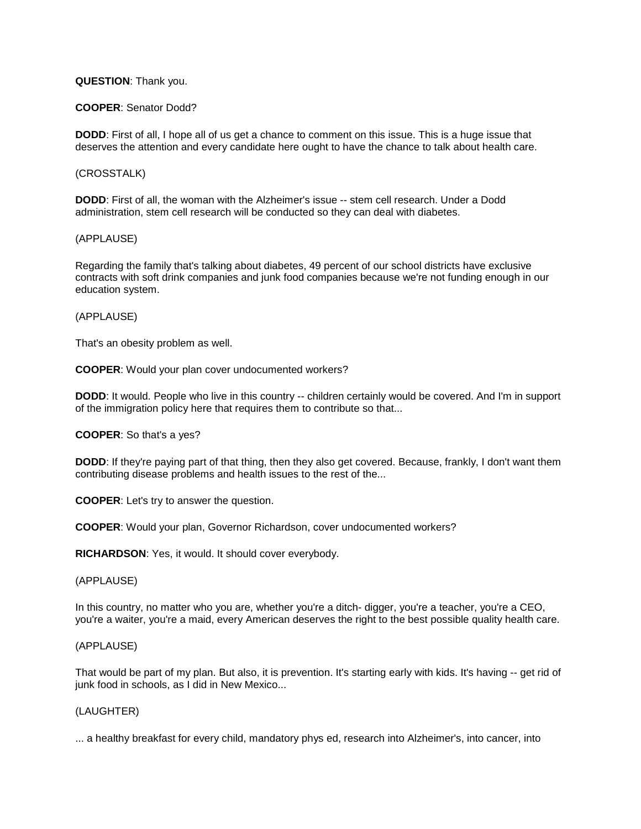# **QUESTION**: Thank you.

## **COOPER**: Senator Dodd?

**DODD**: First of all, I hope all of us get a chance to comment on this issue. This is a huge issue that deserves the attention and every candidate here ought to have the chance to talk about health care.

## (CROSSTALK)

**DODD**: First of all, the woman with the Alzheimer's issue -- stem cell research. Under a Dodd administration, stem cell research will be conducted so they can deal with diabetes.

## (APPLAUSE)

Regarding the family that's talking about diabetes, 49 percent of our school districts have exclusive contracts with soft drink companies and junk food companies because we're not funding enough in our education system.

## (APPLAUSE)

That's an obesity problem as well.

**COOPER**: Would your plan cover undocumented workers?

**DODD**: It would. People who live in this country -- children certainly would be covered. And I'm in support of the immigration policy here that requires them to contribute so that...

**COOPER**: So that's a yes?

**DODD**: If they're paying part of that thing, then they also get covered. Because, frankly, I don't want them contributing disease problems and health issues to the rest of the...

**COOPER**: Let's try to answer the question.

**COOPER**: Would your plan, Governor Richardson, cover undocumented workers?

**RICHARDSON**: Yes, it would. It should cover everybody.

## (APPLAUSE)

In this country, no matter who you are, whether you're a ditch-digger, you're a teacher, you're a CEO, you're a waiter, you're a maid, every American deserves the right to the best possible quality health care.

## (APPLAUSE)

That would be part of my plan. But also, it is prevention. It's starting early with kids. It's having -- get rid of junk food in schools, as I did in New Mexico...

# (LAUGHTER)

... a healthy breakfast for every child, mandatory phys ed, research into Alzheimer's, into cancer, into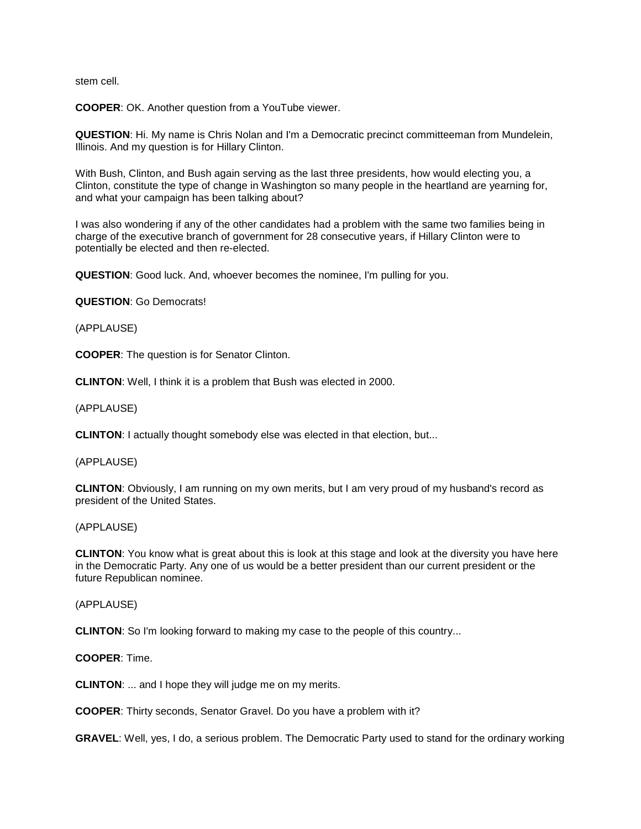stem cell.

**COOPER**: OK. Another question from a YouTube viewer.

**QUESTION**: Hi. My name is Chris Nolan and I'm a Democratic precinct committeeman from Mundelein, Illinois. And my question is for Hillary Clinton.

With Bush, Clinton, and Bush again serving as the last three presidents, how would electing you, a Clinton, constitute the type of change in Washington so many people in the heartland are yearning for, and what your campaign has been talking about?

I was also wondering if any of the other candidates had a problem with the same two families being in charge of the executive branch of government for 28 consecutive years, if Hillary Clinton were to potentially be elected and then re-elected.

**QUESTION**: Good luck. And, whoever becomes the nominee, I'm pulling for you.

**QUESTION**: Go Democrats!

(APPLAUSE)

**COOPER**: The question is for Senator Clinton.

**CLINTON**: Well, I think it is a problem that Bush was elected in 2000.

(APPLAUSE)

**CLINTON**: I actually thought somebody else was elected in that election, but...

(APPLAUSE)

**CLINTON**: Obviously, I am running on my own merits, but I am very proud of my husband's record as president of the United States.

(APPLAUSE)

**CLINTON**: You know what is great about this is look at this stage and look at the diversity you have here in the Democratic Party. Any one of us would be a better president than our current president or the future Republican nominee.

(APPLAUSE)

**CLINTON**: So I'm looking forward to making my case to the people of this country...

**COOPER**: Time.

**CLINTON**: ... and I hope they will judge me on my merits.

**COOPER**: Thirty seconds, Senator Gravel. Do you have a problem with it?

**GRAVEL**: Well, yes, I do, a serious problem. The Democratic Party used to stand for the ordinary working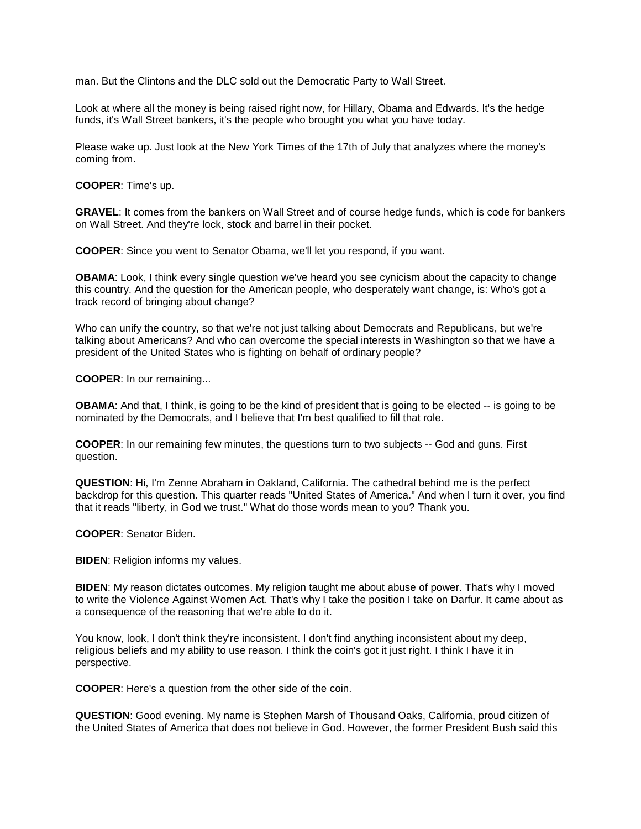man. But the Clintons and the DLC sold out the Democratic Party to Wall Street.

Look at where all the money is being raised right now, for Hillary, Obama and Edwards. It's the hedge funds, it's Wall Street bankers, it's the people who brought you what you have today.

Please wake up. Just look at the New York Times of the 17th of July that analyzes where the money's coming from.

**COOPER**: Time's up.

**GRAVEL**: It comes from the bankers on Wall Street and of course hedge funds, which is code for bankers on Wall Street. And they're lock, stock and barrel in their pocket.

**COOPER**: Since you went to Senator Obama, we'll let you respond, if you want.

**OBAMA**: Look, I think every single question we've heard you see cynicism about the capacity to change this country. And the question for the American people, who desperately want change, is: Who's got a track record of bringing about change?

Who can unify the country, so that we're not just talking about Democrats and Republicans, but we're talking about Americans? And who can overcome the special interests in Washington so that we have a president of the United States who is fighting on behalf of ordinary people?

**COOPER**: In our remaining...

**OBAMA**: And that, I think, is going to be the kind of president that is going to be elected -- is going to be nominated by the Democrats, and I believe that I'm best qualified to fill that role.

**COOPER**: In our remaining few minutes, the questions turn to two subjects -- God and guns. First question.

**QUESTION**: Hi, I'm Zenne Abraham in Oakland, California. The cathedral behind me is the perfect backdrop for this question. This quarter reads "United States of America." And when I turn it over, you find that it reads "liberty, in God we trust." What do those words mean to you? Thank you.

**COOPER**: Senator Biden.

**BIDEN**: Religion informs my values.

**BIDEN**: My reason dictates outcomes. My religion taught me about abuse of power. That's why I moved to write the Violence Against Women Act. That's why I take the position I take on Darfur. It came about as a consequence of the reasoning that we're able to do it.

You know, look, I don't think they're inconsistent. I don't find anything inconsistent about my deep, religious beliefs and my ability to use reason. I think the coin's got it just right. I think I have it in perspective.

**COOPER**: Here's a question from the other side of the coin.

**QUESTION**: Good evening. My name is Stephen Marsh of Thousand Oaks, California, proud citizen of the United States of America that does not believe in God. However, the former President Bush said this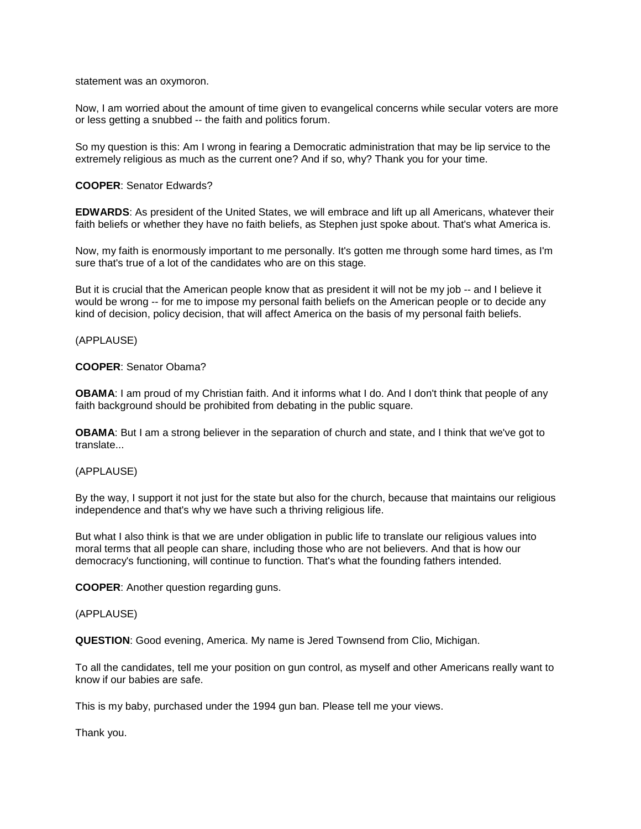statement was an oxymoron.

Now, I am worried about the amount of time given to evangelical concerns while secular voters are more or less getting a snubbed -- the faith and politics forum.

So my question is this: Am I wrong in fearing a Democratic administration that may be lip service to the extremely religious as much as the current one? And if so, why? Thank you for your time.

## **COOPER**: Senator Edwards?

**EDWARDS**: As president of the United States, we will embrace and lift up all Americans, whatever their faith beliefs or whether they have no faith beliefs, as Stephen just spoke about. That's what America is.

Now, my faith is enormously important to me personally. It's gotten me through some hard times, as I'm sure that's true of a lot of the candidates who are on this stage.

But it is crucial that the American people know that as president it will not be my job -- and I believe it would be wrong -- for me to impose my personal faith beliefs on the American people or to decide any kind of decision, policy decision, that will affect America on the basis of my personal faith beliefs.

## (APPLAUSE)

**COOPER**: Senator Obama?

**OBAMA**: I am proud of my Christian faith. And it informs what I do. And I don't think that people of any faith background should be prohibited from debating in the public square.

**OBAMA:** But I am a strong believer in the separation of church and state, and I think that we've got to translate...

## (APPLAUSE)

By the way, I support it not just for the state but also for the church, because that maintains our religious independence and that's why we have such a thriving religious life.

But what I also think is that we are under obligation in public life to translate our religious values into moral terms that all people can share, including those who are not believers. And that is how our democracy's functioning, will continue to function. That's what the founding fathers intended.

**COOPER**: Another question regarding guns.

## (APPLAUSE)

**QUESTION**: Good evening, America. My name is Jered Townsend from Clio, Michigan.

To all the candidates, tell me your position on gun control, as myself and other Americans really want to know if our babies are safe.

This is my baby, purchased under the 1994 gun ban. Please tell me your views.

Thank you.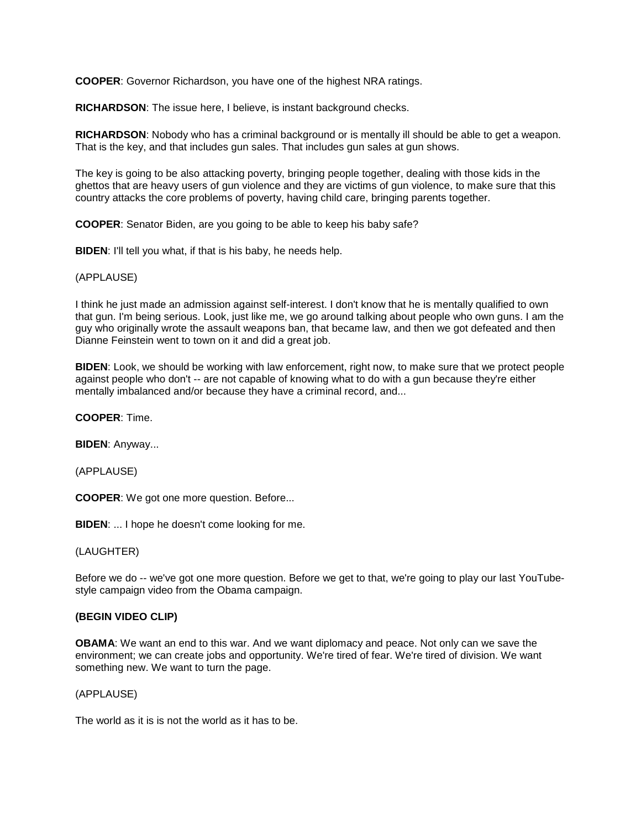**COOPER**: Governor Richardson, you have one of the highest NRA ratings.

**RICHARDSON**: The issue here, I believe, is instant background checks.

**RICHARDSON**: Nobody who has a criminal background or is mentally ill should be able to get a weapon. That is the key, and that includes gun sales. That includes gun sales at gun shows.

The key is going to be also attacking poverty, bringing people together, dealing with those kids in the ghettos that are heavy users of gun violence and they are victims of gun violence, to make sure that this country attacks the core problems of poverty, having child care, bringing parents together.

**COOPER**: Senator Biden, are you going to be able to keep his baby safe?

**BIDEN**: I'll tell you what, if that is his baby, he needs help.

(APPLAUSE)

I think he just made an admission against self-interest. I don't know that he is mentally qualified to own that gun. I'm being serious. Look, just like me, we go around talking about people who own guns. I am the guy who originally wrote the assault weapons ban, that became law, and then we got defeated and then Dianne Feinstein went to town on it and did a great job.

**BIDEN**: Look, we should be working with law enforcement, right now, to make sure that we protect people against people who don't -- are not capable of knowing what to do with a gun because they're either mentally imbalanced and/or because they have a criminal record, and...

**COOPER**: Time.

**BIDEN**: Anyway...

(APPLAUSE)

**COOPER**: We got one more question. Before...

**BIDEN**: ... I hope he doesn't come looking for me.

(LAUGHTER)

Before we do -- we've got one more question. Before we get to that, we're going to play our last YouTubestyle campaign video from the Obama campaign.

# **(BEGIN VIDEO CLIP)**

**OBAMA**: We want an end to this war. And we want diplomacy and peace. Not only can we save the environment; we can create jobs and opportunity. We're tired of fear. We're tired of division. We want something new. We want to turn the page.

(APPLAUSE)

The world as it is is not the world as it has to be.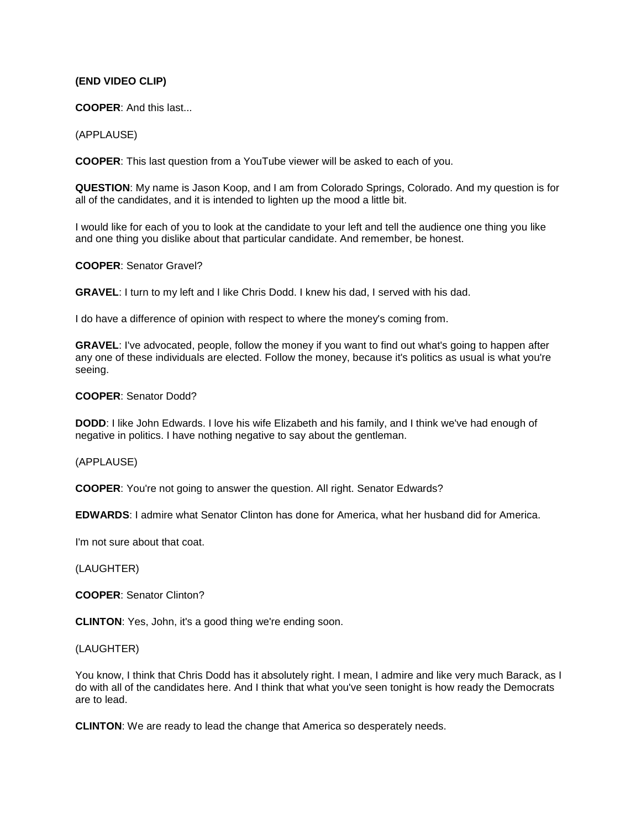# **(END VIDEO CLIP)**

**COOPER**: And this last...

(APPLAUSE)

**COOPER**: This last question from a YouTube viewer will be asked to each of you.

**QUESTION**: My name is Jason Koop, and I am from Colorado Springs, Colorado. And my question is for all of the candidates, and it is intended to lighten up the mood a little bit.

I would like for each of you to look at the candidate to your left and tell the audience one thing you like and one thing you dislike about that particular candidate. And remember, be honest.

**COOPER**: Senator Gravel?

**GRAVEL**: I turn to my left and I like Chris Dodd. I knew his dad, I served with his dad.

I do have a difference of opinion with respect to where the money's coming from.

**GRAVEL**: I've advocated, people, follow the money if you want to find out what's going to happen after any one of these individuals are elected. Follow the money, because it's politics as usual is what you're seeing.

## **COOPER**: Senator Dodd?

**DODD**: I like John Edwards. I love his wife Elizabeth and his family, and I think we've had enough of negative in politics. I have nothing negative to say about the gentleman.

(APPLAUSE)

**COOPER**: You're not going to answer the question. All right. Senator Edwards?

**EDWARDS**: I admire what Senator Clinton has done for America, what her husband did for America.

I'm not sure about that coat.

(LAUGHTER)

**COOPER**: Senator Clinton?

**CLINTON**: Yes, John, it's a good thing we're ending soon.

(LAUGHTER)

You know, I think that Chris Dodd has it absolutely right. I mean, I admire and like very much Barack, as I do with all of the candidates here. And I think that what you've seen tonight is how ready the Democrats are to lead.

**CLINTON**: We are ready to lead the change that America so desperately needs.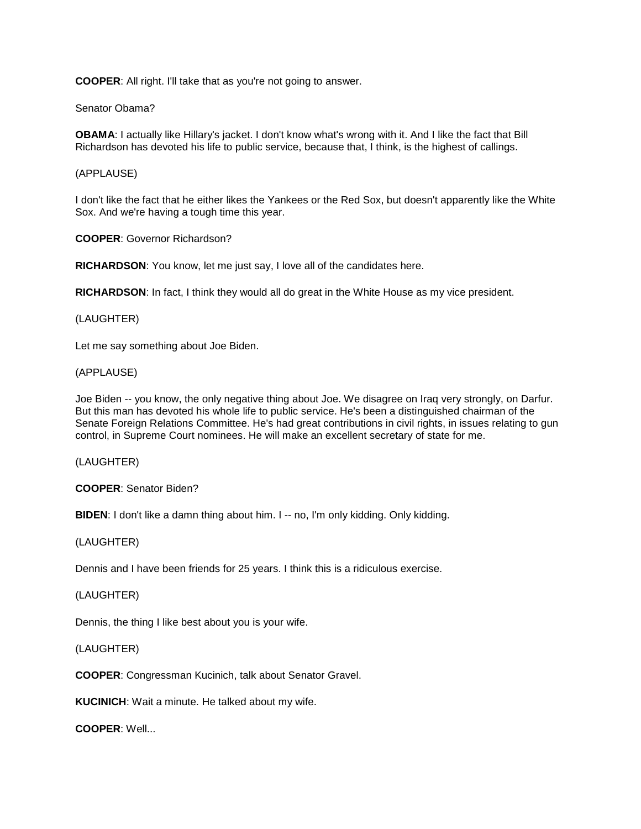**COOPER**: All right. I'll take that as you're not going to answer.

Senator Obama?

**OBAMA**: I actually like Hillary's jacket. I don't know what's wrong with it. And I like the fact that Bill Richardson has devoted his life to public service, because that, I think, is the highest of callings.

(APPLAUSE)

I don't like the fact that he either likes the Yankees or the Red Sox, but doesn't apparently like the White Sox. And we're having a tough time this year.

**COOPER**: Governor Richardson?

**RICHARDSON**: You know, let me just say, I love all of the candidates here.

**RICHARDSON**: In fact, I think they would all do great in the White House as my vice president.

(LAUGHTER)

Let me say something about Joe Biden.

(APPLAUSE)

Joe Biden -- you know, the only negative thing about Joe. We disagree on Iraq very strongly, on Darfur. But this man has devoted his whole life to public service. He's been a distinguished chairman of the Senate Foreign Relations Committee. He's had great contributions in civil rights, in issues relating to gun control, in Supreme Court nominees. He will make an excellent secretary of state for me.

(LAUGHTER)

**COOPER**: Senator Biden?

**BIDEN**: I don't like a damn thing about him. I -- no, I'm only kidding. Only kidding.

(LAUGHTER)

Dennis and I have been friends for 25 years. I think this is a ridiculous exercise.

(LAUGHTER)

Dennis, the thing I like best about you is your wife.

(LAUGHTER)

**COOPER**: Congressman Kucinich, talk about Senator Gravel.

**KUCINICH**: Wait a minute. He talked about my wife.

**COOPER**: Well...